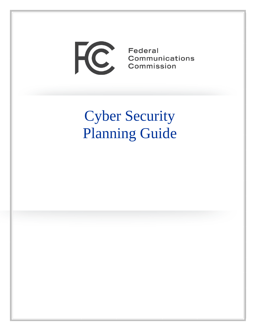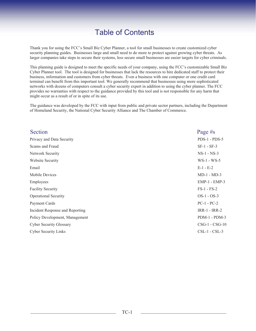# Table of Contents

Thank you for using the FCC's Small Biz Cyber Planner, a tool for small businesses to create customized cyber security planning guides. Businesses large and small need to do more to protect against growing cyber threats. As larger companies take steps to secure their systems, less secure small businesses are easier targets for cyber criminals.

This planning guide is designed to meet the specific needs of your company, using the FCC's customizable Small Biz Cyber Planner tool. The tool is designed for businesses that lack the resources to hire dedicated staff to protect their business, information and customers from cyber threats. Even a business with one computer or one credit card terminal can benefit from this important tool. We generally recommend that businesses using more sophisticated networks with dozens of computers consult a cyber security expert in addition to using the cyber planner. The FCC provides no warranties with respect to the guidance provided by this tool and is not responsible for any harm that might occur as a result of or in spite of its use.

The guidance was developed by the FCC with input from public and private sector partners, including the Department of Homeland Security, the National Cyber Security Alliance and The Chamber of Commerce.

| Section                         | Page #s            |
|---------------------------------|--------------------|
| Privacy and Data Security       | $PDS-1 - PDS-5$    |
| Scams and Fraud                 | $SF-1 - SF-3$      |
| Network Security                | $NS-1 - NS-3$      |
| Website Security                | $WS-1 - WS-5$      |
| Email                           | $E-1 - E-2$        |
| Mobile Devices                  | $MD-1 - MD-3$      |
| Employees                       | $EMP-1$ - $EMP-3$  |
| <b>Facility Security</b>        | $FS-1$ - $FS-2$    |
| <b>Operational Security</b>     | $OS-1 - OS-3$      |
| Payment Cards                   | $PC-1 - PC-2$      |
| Incident Response and Reporting | $IRR-1 - IRR-2$    |
| Policy Development, Management  | $PDM-1 - PDM-3$    |
| <b>Cyber Security Glossary</b>  | $CSG-1$ - $CSG-10$ |
| <b>Cyber Security Links</b>     | $CSL-1 - CSL-3$    |
|                                 |                    |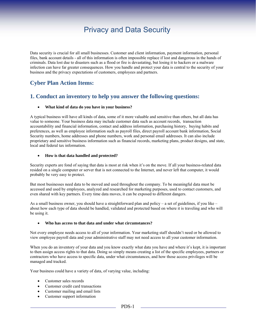# Privacy and Data Security

Data security is crucial for all small businesses. Customer and client information, payment information, personal files, bank account details - all of this information is often impossible replace if lost and dangerous in the hands of criminals. Data lost due to disasters such as a flood or fire is devastating, but losing it to hackers or a malware infection can have far greater consequences. How you handle and protect your data is central to the security of your business and the privacy expectations of customers, employees and partners.

# **Cyber Plan Action Items:**

### **1. Conduct an inventory to help you answer the following questions:**

#### • **What kind of data do you have in your business?**

A typical business will have all kinds of data, some of it more valuable and sensitive than others, but all data has value to someone. Your business data may include customer data such as account records, transaction accountability and financial information, contact and address information, purchasing history, buying habits and preferences, as well as employee information such as payroll files, direct payroll account bank information, Social Security numbers, home addresses and phone numbers, work and personal email addresses. It can also include proprietary and sensitive business information such as financial records, marketing plans, product designs, and state, local and federal tax information.

#### • **How is that data handled and protected?**

Security experts are fond of saying that data is most at risk when it's on the move. If all your business-related data resided on a single computer or server that is not connected to the Internet, and never left that computer, it would probably be very easy to protect.

But most businesses need data to be moved and used throughout the company. To be meaningful data must be accessed and used by employees, analyzed and researched for marketing purposes, used to contact customers, and even shared with key partners. Every time data moves, it can be exposed to different dangers.

As a small business owner, you should have a straightforward plan and policy – a set of guidelines, if you like – about how each type of data should be handled, validated and protected based on where it is traveling and who will be using it.

#### • **Who has access to that data and under what circumstances?**

Not every employee needs access to all of your information. Your marketing staff shouldn't need or be allowed to view employee payroll data and your administrative staff may not need access to all your customer information.

When you do an inventory of your data and you know exactly what data you have and where it's kept, it is important to then assign access rights to that data. Doing so simply means creating a list of the specific employees, partners or contractors who have access to specific data, under what circumstances, and how those access privileges will be managed and tracked.

Your business could have a variety of data, of varying value, including:

- Customer sales records
- Customer credit card transactions
- Customer mailing and email lists
- Customer support information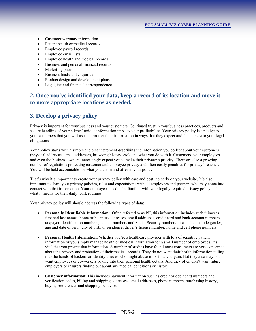- Customer warranty information
- Patient health or medical records
- Employee payroll records
- Employee email lists
- Employee health and medical records
- Business and personal financial records
- Marketing plans
- Business leads and enquiries
- Product design and development plans
- Legal, tax and financial correspondence

## **2. Once you've identified your data, keep a record of its location and move it to more appropriate locations as needed.**

# **3. Develop a privacy policy**

Privacy is important for your business and your customers. Continued trust in your business practices, products and secure handling of your clients' unique information impacts your profitability. Your privacy policy is a pledge to your customers that you will use and protect their information in ways that they expect and that adhere to your legal obligations.

Your policy starts with a simple and clear statement describing the information you collect about your customers (physical addresses, email addresses, browsing history, etc), and what you do with it. Customers, your employees and even the business owners increasingly expect you to make their privacy a priority. There are also a growing number of regulations protecting customer and employee privacy and often costly penalties for privacy breaches. You will be held accountable for what you claim and offer in your policy.

That's why it's important to create your privacy policy with care and post it clearly on your website. It's also important to share your privacy policies, rules and expectations with all employees and partners who may come into contact with that information. Your employees need to be familiar with your legally required privacy policy and what it means for their daily work routines.

Your privacy policy will should address the following types of data:

- **Personally Identifiable Information:** Often referred to as PII, this information includes such things as first and last names, home or business addresses, email addresses, credit card and bank account numbers, taxpayer identification numbers, patient numbers and Social Security numbers. It can also include gender, age and date of birth, city of birth or residence, driver's license number, home and cell phone numbers.
- **Personal Health Information**: Whether you're a healthcare provider with lots of sensitive patient information or you simply manage health or medical information for a small number of employees, it's vital that you protect that information. A number of studies have found most consumers are very concerned about the privacy and protection of their medical records. They do not want their health information falling into the hands of hackers or identity thieves who might abuse it for financial gain. But they also may not want employees or co-workers prying into their personal health details. And they often don't want future employers or insurers finding out about any medical conditions or history.
- **Customer information**: This includes payment information such as credit or debit card numbers and verification codes, billing and shipping addresses, email addresses, phone numbers, purchasing history, buying preferences and shopping behavior.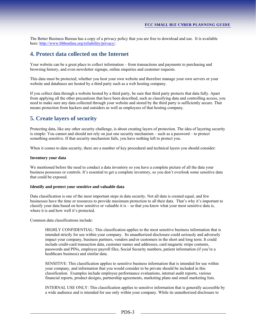The Better Business Bureau has a copy of a privacy policy that you are free to download and use. It is available here: [http://www.bbbonline.org/reliability/privacy/.](http://www.bbbonline.org/reliability/privacy/)

### **4. Protect data collected on the Internet**

Your website can be a great place to collect information – from transactions and payments to purchasing and browsing history, and even newsletter signups, online enquiries and customer requests.

This data must be protected, whether you host your own website and therefore manage your own servers or your website and databases are hosted by a third party such as a web hosting company.

If you collect data through a website hosted by a third party, be sure that third party protects that data fully. Apart from applying all the other precautions that have been described, such as classifying data and controlling access, you need to make sure any data collected through your website and stored by the third party is sufficiently secure. That means protection from hackers and outsiders as well as employees of that hosting company.

## **5. Create layers of security**

Protecting data, like any other security challenge, is about creating layers of protection. The idea of layering security is simple: You cannot and should not rely on just one security mechanism – such as a password – to protect something sensitive. If that security mechanism fails, you have nothing left to protect you.

When it comes to data security, there are a number of key procedural and technical layers you should consider:

#### **Inventory your data**

We mentioned before the need to conduct a data inventory so you have a complete picture of all the data your business possesses or controls. It's essential to get a complete inventory, so you don't overlook some sensitive data that could be exposed.

#### **Identify and protect your sensitive and valuable data**

Data classification is one of the most important steps in data security. Not all data is created equal, and few businesses have the time or resources to provide maximum protection to all their data. That's why it's important to classify your data based on how sensitive or valuable it is – so that you know what your most sensitive data is, where it is and how well it's protected.

Common data classifications include:

HIGHLY CONFIDENTIAL: This classification applies to the most sensitive business information that is intended strictly for use within your company. Its unauthorized disclosure could seriously and adversely impact your company, business partners, vendors and/or customers in the short and long term. It could include credit-card transaction data, customer names and addresses, card magnetic stripe contents, passwords and PINs, employee payroll files, Social Security numbers, patient information (if you're a healthcare business) and similar data.

SENSITIVE: This classification applies to sensitive business information that is intended for use within your company, and information that you would consider to be private should be included in this classification. Examples include employee performance evaluations, internal audit reports, various financial reports, product designs, partnership agreements, marketing plans and email marketing lists.

INTERNAL USE ONLY: This classification applies to sensitive information that is generally accessible by a wide audience and is intended for use only within your company. While its unauthorized disclosure to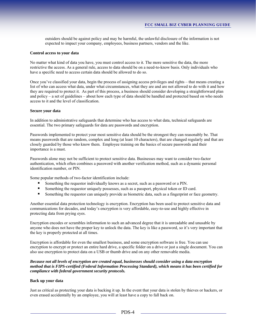outsiders should be against policy and may be harmful, the unlawful disclosure of the information is not expected to impact your company, employees, business partners, vendors and the like.

#### **Control access to your data**

No matter what kind of data you have, you must control access to it. The more sensitive the data, the more restrictive the access. As a general rule, access to data should be on a need-to-know basis. Only individuals who have a specific need to access certain data should be allowed to do so.

Once you've classified your data, begin the process of assigning access privileges and rights – that means creating a list of who can access what data, under what circumstances, what they are and are not allowed to do with it and how they are required to protect it. As part of this process, a business should consider developing a straightforward plan and policy – a set of guidelines – about how each type of data should be handled and protected based on who needs access to it and the level of classification.

#### **Secure your data**

In addition to administrative safeguards that determine who has access to what data, technical safeguards are essential. The two primary safeguards for data are passwords and encryption.

Passwords implemented to protect your most sensitive data should be the strongest they can reasonably be. That means passwords that are random, complex and long (at least 10 characters), that are changed regularly and that are closely guarded by those who know them. Employee training on the basics of secure passwords and their importance is a must.

Passwords alone may not be sufficient to protect sensitive data. Businesses may want to consider two-factor authentication, which often combines a password with another verification method, such as a dynamic personal identification number, or PIN.

Some popular methods of two-factor identification include:

- Something the requestor individually knows as a secret, such as a password or a PIN.
- Something the requestor uniquely possesses, such as a passport, physical token or ID card.
- Something the requestor can uniquely provide as biometric data, such as a fingerprint or face geometry.

Another essential data protection technology is encryption. Encryption has been used to protect sensitive data and communications for decades, and today's encryption is very affordable, easy-to-use and highly effective in protecting data from prying eyes.

Encryption encodes or scrambles information to such an advanced degree that it is unreadable and unusable by anyone who does not have the proper key to unlock the data. The key is like a password, so it's very important that the key is properly protected at all times.

Encryption is affordable for even the smallest business, and some encryption software is free. You can use encryption to encrypt or protect an entire hard drive, a specific folder on a drive or just a single document. You can also use encryption to protect data on a USB or thumb drive and on any other removable media.

*Because not all levels of encryption are created equal, businesses should consider using a data encryption method that is FIPS-certified (Federal Information Processing Standard), which means it has been certified for compliance with federal government security protocols.* 

#### **Back up your data**

Just as critical as protecting your data is backing it up. In the event that your data is stolen by thieves or hackers, or even erased accidentally by an employee, you will at least have a copy to fall back on.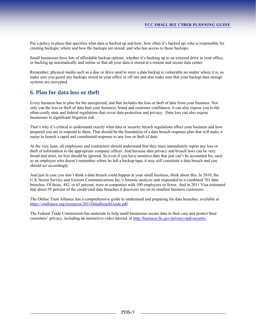Put a policy in place that specifies what data is backed up and how; how often it's backed up; who is responsible for creating backups; where and how the backups are stored; and who has access to those backups.

Small businesses have lots of affordable backup options, whether it's backing up to an external drive in your office, or backing up automatically and online so that all your data is stored at a remote and secure data center.

Remember, physical media such as a disc or drive used to store a data backup is vulnerable no matter where it is, so make sure you guard any backups stored in your office or off site and also make sure that your backup data storage systems are encrypted.

### **6. Plan for data loss or theft**

Every business has to plan for the unexpected, and that includes the loss or theft of data from your business. Not only can the loss or theft of data hurt your business, brand and customer confidence, it can also expose you to the often-costly state and federal regulations that cover data protection and privacy. Data loss can also expose businesses to significant litigation risk.

That's why it's critical to understand exactly what data or security breach regulations affect your business and how prepared you are to respond to them. That should be the foundation of a data breach response plan that will make it easier to launch a rapid and coordinated response to any loss or theft of data.

At the very least, all employees and contractors should understand that they must immediately report any loss or theft of information to the appropriate company officer. And because data privacy and breach laws can be very broad and strict, no loss should be ignored. So even if you have sensitive data that just can't be accounted for, such as an employee who doesn't remember where he left a backup tape, it may still constitute a data breach and you should act accordingly.

And just in case you don't think a data breach could happen at your small business, think about this. In 2010, the U.S. Secret Service and Verizon Communications Inc.'s forensic analysis unit responded to a combined 761 data breaches. Of those, 482, or 63 percent, were at companies with 100 employees or fewer. And in 2011 Visa estimated that about 95 percent of the credit-card data breaches it discovers are on its smallest business customers.

The Online Trust Alliance has a comprehensive guide to understand and preparing for data breaches, available at <https://otalliance.org/resources/2011DataBreachGuide.pdf>.

The Federal Trade Commission has materials to help small businesses secure data in their care and protect their customers' privacy, including an interactive video tutorial, at <http://business.ftc.gov/privacy-and-security>.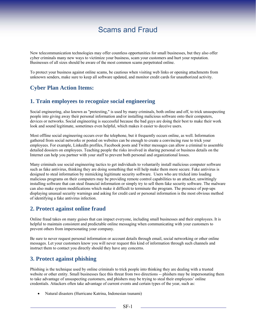# Scams and Fraud

New telecommunication technologies may offer countless opportunities for small businesses, but they also offer cyber criminals many new ways to victimize your business, scam your customers and hurt your reputation. Businesses of all sizes should be aware of the most common scams perpetrated online.

To protect your business against online scams, be cautious when visiting web links or opening attachments from unknown senders, make sure to keep all software updated, and monitor credit cards for unauthorized activity.

# **Cyber Plan Action Items:**

## **1. Train employees to recognize social engineering**

Social engineering, also known as "pretexting," is used by many criminals, both online and off, to trick unsuspecting people into giving away their personal information and/or installing malicious software onto their computers, devices or networks. Social engineering is successful because the bad guys are doing their best to make their work look and sound legitimate, sometimes even helpful, which makes it easier to deceive users.

Most offline social engineering occurs over the telephone, but it frequently occurs online, as well. Information gathered from social networks or posted on websites can be enough to create a convincing ruse to trick your employees. For example, LinkedIn profiles, Facebook posts and Twitter messages can allow a criminal to assemble detailed dossiers on employees. Teaching people the risks involved in sharing personal or business details on the Internet can help you partner with your staff to prevent both personal and organizational losses.

Many criminals use social engineering tactics to get individuals to voluntarily install malicious computer software such as fake antivirus, thinking they are doing something that will help make them more secure. Fake antivirus is designed to steal information by mimicking legitimate security software. Users who are tricked into loading malicious programs on their computers may be providing remote control capabilities to an attacker, unwittingly installing software that can steal financial information or simply try to sell them fake security software. The malware can also make system modifications which make it difficult to terminate the program. The presence of pop-ups displaying unusual security warnings and asking for credit card or personal information is the most obvious method of identifying a fake antivirus infection.

# **2. Protect against online fraud**

Online fraud takes on many guises that can impact everyone, including small businesses and their employees. It is helpful to maintain consistent and predictable online messaging when communicating with your customers to prevent others from impersonating your company.

Be sure to never request personal information or account details through email, social networking or other online messages. Let your customers know you will never request this kind of information through such channels and instruct them to contact you directly should they have any concerns.

# **3. Protect against phishing**

Phishing is the technique used by online criminals to trick people into thinking they are dealing with a trusted website or other entity. Small businesses face this threat from two directions -- phishers may be impersonating them to take advantage of unsuspecting customers, and phishers may be trying to steal their employees' online credentials. Attackers often take advantage of current events and certain types of the year, such as:

• Natural disasters (Hurricane Katrina, Indonesian tsunami)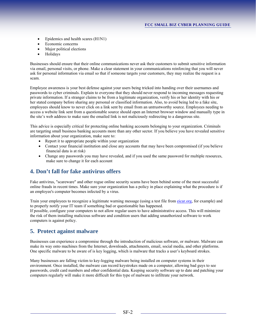- Epidemics and health scares (H1N1)
- Economic concerns
- Major political elections
- Holidays

Businesses should ensure that their online communications never ask their customers to submit sensitive information via email, personal visits, or phone. Make a clear statement in your communications reinforcing that you will never ask for personal information via email so that if someone targets your customers, they may realize the request is a scam.

Employee awareness is your best defense against your users being tricked into handing over their usernames and passwords to cyber criminals. Explain to everyone that they should never respond to incoming messages requesting private information. If a stranger claims to be from a legitimate organization, verify his or her identity with his or her stated company before sharing any personal or classified information. Also, to avoid being led to a fake site, employees should know to never click on a link sent by email from an untrustworthy source. Employees needing to access a website link sent from a questionable source should open an Internet browser window and manually type in the site's web address to make sure the emailed link is not maliciously redirecting to a dangerous site.

This advice is especially critical for protecting online banking accounts belonging to your organization. Criminals are targeting small business banking accounts more than any other sector. If you believe you have revealed sensitive information about your organization, make sure to:

- Report it to appropriate people within your organization
- Contact your financial institution and close any accounts that may have been compromised (if you believe financial data is at risk)
- Change any passwords you may have revealed, and if you used the same password for multiple resources, make sure to change it for each account

### **4. Don't fall for fake antivirus offers**

Fake antivirus, "scareware" and other rogue online security scams have been behind some of the most successful online frauds in recent times. Make sure your organization has a policy in place explaining what the procedure is if an employee's computer becomes infected by a virus.

Train your employees to recognize a legitimate warning message (using a test file from [eicar.org,](http://www.eicar.org/) for example) and to properly notify your IT team if something bad or questionable has happened.

If possible, configure your computers to not allow regular users to have administrative access. This will minimize the risk of them installing malicious software and condition users that adding unauthorized software to work computers is against policy.

### **5. Protect against malware**

Businesses can experience a compromise through the introduction of malicious software, or malware. Malware can make its way onto machines from the Internet, downloads, attachments, email, social media, and other platforms. One specific malware to be aware of is key logging, which is malware that tracks a user's keyboard strokes.

Many businesses are falling victim to key-logging malware being installed on computer systems in their environment. Once installed, the malware can record keystrokes made on a computer, allowing bad guys to see passwords, credit card numbers and other confidential data. Keeping security software up to date and patching your computers regularly will make it more difficult for this type of malware to infiltrate your network.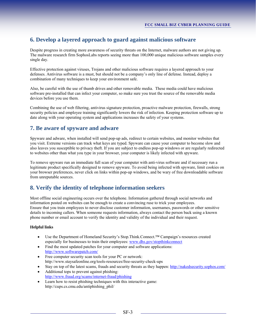# **6. Develop a layered approach to guard against malicious software**

Despite progress in creating more awareness of security threats on the Internet, malware authors are not giving up. The malware research firm SophosLabs reports seeing more than 100,000 unique malicious software samples every single day.

Effective protection against viruses, Trojans and other malicious software requires a layered approach to your defenses. Antivirus software is a must, but should not be a company's only line of defense. Instead, deploy a combination of many techniques to keep your environment safe.

Also, be careful with the use of thumb drives and other removable media. These media could have malicious software pre-installed that can infect your computer, so make sure you trust the source of the removable media devices before you use them.

Combining the use of web filtering, antivirus signature protection, proactive malware protection, firewalls, strong security policies and employee training significantly lowers the risk of infection. Keeping protection software up to date along with your operating system and applications increases the safety of your systems.

# **7. Be aware of spyware and adware**

Spyware and adware, when installed will send pop-up ads, redirect to certain websites, and monitor websites that you visit. Extreme versions can track what keys are typed. Spyware can cause your computer to become slow and also leaves you susceptible to privacy theft. If you are subject to endless pop-up windows or are regularly redirected to websites other than what you type in your browser, your computer is likely infected with spyware.

To remove spyware run an immediate full scan of your computer with anti-virus software and if necessary run a legitimate product specifically designed to remove spyware. To avoid being infected with spyware, limit cookies on your browser preferences, never click on links within pop-up windows, and be wary of free downloadable software from unreputable sources.

# **8. Verify the identity of telephone information seekers**

Most offline social engineering occurs over the telephone. Information gathered through social networks and information posted on websites can be enough to create a convincing ruse to trick your employees. Ensure that you train employees to never disclose customer information, usernames, passwords or other sensitive details to incoming callers. When someone requests information, always contact the person back using a known phone number or email account to verify the identity and validity of the individual and their request.

### **Helpful links**

- Use the Department of Homeland Security's Stop.Think.Connect.™ Campaign's resources created especially for businesses to train their employees: www.dhs.gov/stopthinkconnect
- Find the most updated patches for your computer and software applications: <http://www.softwarepatch.com/>
- Free computer security scan tools for your PC or network: http://www.staysafeonline.org/tools-resources/free-security-check-ups
- Stay on top of the latest scams, frauds and security threats as they happen:<http://nakedsecurity.sophos.com/>
- Additional tops to prevent against phishing: <http://www.fraud.org/scams/internet-fraud/phishing>
- Learn how to resist phishing techniques with this interactive game: http://cups.cs.cmu.edu/antiphishing\_phil/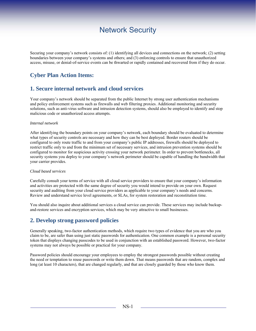# Network Security

Securing your company's network consists of: (1) identifying all devices and connections on the network; (2) setting boundaries between your company's systems and others; and (3) enforcing controls to ensure that unauthorized access, misuse, or denial-of-service events can be thwarted or rapidly contained and recovered from if they do occur.

# **Cyber Plan Action Items:**

## **1. Secure internal network and cloud services**

Your company's network should be separated from the public Internet by strong user authentication mechanisms and policy enforcement systems such as firewalls and web filtering proxies. Additional monitoring and security solutions, such as anti-virus software and intrusion detection systems, should also be employed to identify and stop malicious code or unauthorized access attempts.

#### *Internal network*

After identifying the boundary points on your company's network, each boundary should be evaluated to determine what types of security controls are necessary and how they can be best deployed. Border routers should be configured to only route traffic to and from your company's public IP addresses, firewalls should be deployed to restrict traffic only to and from the minimum set of necessary services, and intrusion prevention systems should be configured to monitor for suspicious activity crossing your network perimeter. In order to prevent bottlenecks, all security systems you deploy to your company's network perimeter should be capable of handling the bandwidth that your carrier provides.

#### *Cloud based services*

Carefully consult your terms of service with all cloud service providers to ensure that your company's information and activities are protected with the same degree of security you would intend to provide on your own. Request security and auditing from your cloud service providers as applicable to your company's needs and concerns. Review and understand service level agreements, or SLAs, for system restoration and reconstitution time.

You should also inquire about additional services a cloud service can provide. These services may include backupand-restore services and encryption services, which may be very attractive to small businesses.

# **2. Develop strong password policies**

Generally speaking, two-factor authentication methods, which require two types of evidence that you are who you claim to be, are safer than using just static passwords for authentication. One common example is a personal security token that displays changing passcodes to be used in conjunction with an established password. However, two-factor systems may not always be possible or practical for your company.

Password policies should encourage your employees to employ the strongest passwords possible without creating the need or temptation to reuse passwords or write them down. That means passwords that are random, complex and long (at least 10 characters), that are changed regularly, and that are closely guarded by those who know them.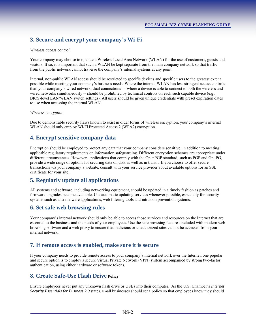# **3. Secure and encrypt your company's Wi-Fi**

#### *Wireless access control*

Your company may choose to operate a Wireless Local Area Network (WLAN) for the use of customers, guests and visitors. If so, it is important that such a WLAN be kept separate from the main company network so that traffic from the public network cannot traverse the company's internal systems at any point.

Internal, non-public WLAN access should be restricted to specific devices and specific users to the greatest extent possible while meeting your company's business needs. Where the internal WLAN has less stringent access controls than your company's wired network, dual connections -- where a device is able to connect to both the wireless and wired networks simultaneously -- should be prohibited by technical controls on each such capable device (e.g., BIOS-level LAN/WLAN switch settings). All users should be given unique credentials with preset expiration dates to use when accessing the internal WLAN.

#### *Wireless encryption*

Due to demonstrable security flaws known to exist in older forms of wireless encryption, your company's internal WLAN should only employ Wi-Fi Protected Access 2 (WPA2) encryption.

## **4. Encrypt sensitive company data**

Encryption should be employed to protect any data that your company considers sensitive, in addition to meeting applicable regulatory requirements on information safeguarding. Different encryption schemes are appropriate under different circumstances. However, applications that comply with the OpenPGP standard, such as PGP and GnuPG, provide a wide range of options for securing data on disk as well as in transit. If you choose to offer secure transactions via your company's website, consult with your service provider about available options for an SSL certificate for your site.

# **5. Regularly update all applications**

All systems and software, including networking equipment, should be updated in a timely fashion as patches and firmware upgrades become available. Use automatic updating services whenever possible, especially for security systems such as anti-malware applications, web filtering tools and intrusion prevention systems.

### **6. Set safe web browsing rules**

Your company's internal network should only be able to access those services and resources on the Internet that are essential to the business and the needs of your employees. Use the safe browsing features included with modern web browsing software and a web proxy to ensure that malicious or unauthorized sites cannot be accessed from your internal network.

### **7. If remote access is enabled, make sure it is secure**

If your company needs to provide remote access to your company's internal network over the Internet, one popular and secure option is to employ a secure Virtual Private Network (VPN) system accompanied by strong two-factor authentication, using either hardware or software tokens.

### **8. Create Safe-Use Flash Drive Policy**

Ensure employees never put any unknown flash drive or USBs into their computer. As the U.S. Chamber's *Internet Security Essentials for Business 2.0* states, small businesses should set a policy so that employees know they should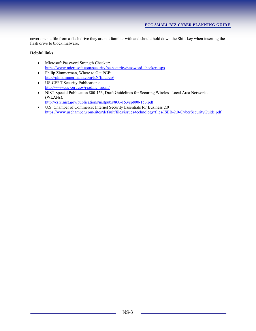never open a file from a flash drive they are not familiar with and should hold down the Shift key when inserting the flash drive to block malware.

### **Helpful links**

- Microsoft Password Strength Checker: <https://www.microsoft.com/security/pc-security/password-checker.aspx>
- Philip Zimmerman, Where to Get PGP: <http://philzimmermann.com/EN/findpgp/>
- US-CERT Security Publications: [http://www.us-cert.gov/reading\\_room/](http://www.us-cert.gov/reading_room/)
- NIST Special Publication 800-153, Draft Guidelines for Securing Wireless Local Area Networks (WLANs):
- <http://csrc.nist.gov/publications/nistpubs/800-153/sp800-153.pdf> • U.S. Chamber of Commerce: Internet Security Essentials for Business 2.0 <https://www.uschamber.com/sites/default/files/issues/technology/files/ISEB-2.0-CyberSecurityGuide.pdf>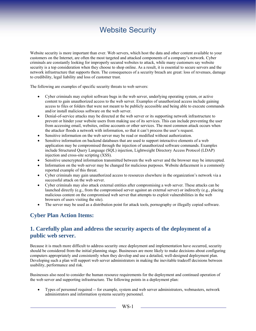# Website Security

Website security is more important than ever. Web servers, which host the data and other content available to your customers on the Internet, are often the most targeted and attacked components of a company's network. Cyber criminals are constantly looking for improperly secured websites to attack, while many customers say website security is a top consideration when they choose to shop online. As a result, it is essential to secure servers and the network infrastructure that supports them. The consequences of a security breach are great: loss of revenues, damage to credibility, legal liability and loss of customer trust.

The following are examples of specific security threats to web servers:

- Cyber criminals may exploit software bugs in the web server, underlying operating system, or active content to gain unauthorized access to the web server. Examples of unauthorized access include gaining access to files or folders that were not meant to be publicly accessible and being able to execute commands and/or install malicious software on the web server.
- Denial-of-service attacks may be directed at the web server or its supporting network infrastructure to prevent or hinder your website users from making use of its services. This can include preventing the user from accessing email, websites, online accounts or other services. The most common attack occurs when the attacker floods a network with information, so that it can't process the user's request.
- Sensitive information on the web server may be read or modified without authorization.
- Sensitive information on backend databases that are used to support interactive elements of a web application may be compromised through the injection of unauthorized software commands. Examples include Structured Query Language (SQL) injection, Lightweight Directory Access Protocol (LDAP) injection and cross-site scripting (XSS).
- Sensitive unencrypted information transmitted between the web server and the browser may be intercepted.
- Information on the web server may be changed for malicious purposes. Website defacement is a commonly reported example of this threat.
- Cyber criminals may gain unauthorized access to resources elsewhere in the organization's network via a successful attack on the web server.
- Cyber criminals may also attack external entities after compromising a web server. These attacks can be launched directly (e.g., from the compromised server against an external server) or indirectly (e.g., placing malicious content on the compromised web server that attempts to exploit vulnerabilities in the web browsers of users visiting the site).
- The server may be used as a distribution point for attack tools, pornography or illegally copied software.

### **Cyber Plan Action Items:**

# **1. Carefully plan and address the security aspects of the deployment of a public web server.**

Because it is much more difficult to address security once deployment and implementation have occurred, security should be considered from the initial planning stage. Businesses are more likely to make decisions about configuring computers appropriately and consistently when they develop and use a detailed, well-designed deployment plan. Developing such a plan will support web server administrators in making the inevitable tradeoff decisions between usability, performance and risk.

Businesses also need to consider the human resource requirements for the deployment and continued operation of the web server and supporting infrastructure. The following points in a deployment plan:

• Types of personnel required -- for example, system and web server administrators, webmasters, network administrators and information systems security personnel.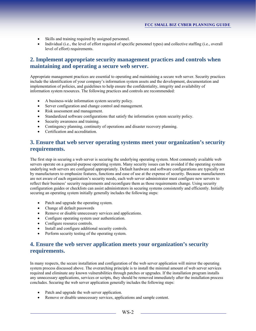- Skills and training required by assigned personnel.
- Individual (i.e., the level of effort required of specific personnel types) and collective staffing (i.e., overall level of effort) requirements.

# **2. Implement appropriate security management practices and controls when maintaining and operating a secure web server.**

Appropriate management practices are essential to operating and maintaining a secure web server. Security practices include the identification of your company's information system assets and the development, documentation and implementation of policies, and guidelines to help ensure the confidentiality, integrity and availability of information system resources. The following practices and controls are recommended:

- A business-wide information system security policy.
- Server configuration and change control and management.
- Risk assessment and management.
- Standardized software configurations that satisfy the information system security policy.
- Security awareness and training.
- Contingency planning, continuity of operations and disaster recovery planning.
- Certification and accreditation.

## **3. Ensure that web server operating systems meet your organization's security requirements.**

The first step in securing a web server is securing the underlying operating system. Most commonly available web servers operate on a general-purpose operating system. Many security issues can be avoided if the operating systems underlying web servers are configured appropriately. Default hardware and software configurations are typically set by manufacturers to emphasize features, functions and ease of use at the expense of security. Because manufacturers are not aware of each organization's security needs, each web server administrator must configure new servers to reflect their business' security requirements and reconfigure them as those requirements change. Using security configuration guides or checklists can assist administrators in securing systems consistently and efficiently. Initially securing an operating system initially generally includes the following steps:

- Patch and upgrade the operating system.
- Change all default passwords
- Remove or disable unnecessary services and applications.
- Configure operating system user authentication.
- Configure resource controls.
- Install and configure additional security controls.
- Perform security testing of the operating system.

# **4. Ensure the web server application meets your organization's security requirements.**

In many respects, the secure installation and configuration of the web server application will mirror the operating system process discussed above. The overarching principle is to install the minimal amount of web server services required and eliminate any known vulnerabilities through patches or upgrades. If the installation program installs any unnecessary applications, services or scripts, they should be removed immediately after the installation process concludes. Securing the web server application generally includes the following steps:

- Patch and upgrade the web server application.
- Remove or disable unnecessary services, applications and sample content.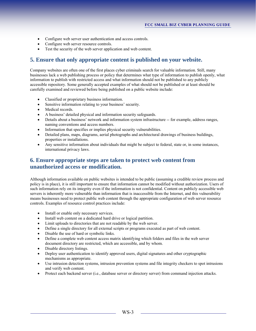- Configure web server user authentication and access controls.
- Configure web server resource controls.
- Test the security of the web server application and web content.

## **5. Ensure that only appropriate content is published on your website.**

Company websites are often one of the first places cyber criminals search for valuable information. Still, many businesses lack a web publishing process or policy that determines what type of information to publish openly, what information to publish with restricted access and what information should not be published to any publicly accessible repository. Some generally accepted examples of what should not be published or at least should be carefully examined and reviewed before being published on a public website include:

- Classified or proprietary business information.
- Sensitive information relating to your business' security.
- Medical records.
- A business' detailed physical and information security safeguards.
- Details about a business' network and information system infrastructure -- for example, address ranges, naming conventions and access numbers.
- Information that specifies or implies physical security vulnerabilities.
- Detailed plans, maps, diagrams, aerial photographs and architectural drawings of business buildings, properties or installations.
- Any sensitive information about individuals that might be subject to federal, state or, in some instances, international privacy laws.

# **6. Ensure appropriate steps are taken to protect web content from unauthorized access or modification.**

Although information available on public websites is intended to be public (assuming a credible review process and policy is in place), it is still important to ensure that information cannot be modified without authorization. Users of such information rely on its integrity even if the information is not confidential. Content on publicly accessible web servers is inherently more vulnerable than information that is inaccessible from the Internet, and this vulnerability means businesses need to protect public web content through the appropriate configuration of web server resource controls. Examples of resource control practices include:

- Install or enable only necessary services.
- Install web content on a dedicated hard drive or logical partition.
- Limit uploads to directories that are not readable by the web server.
- Define a single directory for all external scripts or programs executed as part of web content.
- Disable the use of hard or symbolic links.
- Define a complete web content access matrix identifying which folders and files in the web server document directory are restricted, which are accessible, and by whom.
- Disable directory listings.
- Deploy user authentication to identify approved users, digital signatures and other cryptographic mechanisms as appropriate.
- Use intrusion detection systems, intrusion prevention systems and file integrity checkers to spot intrusions and verify web content.
- Protect each backend server (i.e., database server or directory server) from command injection attacks.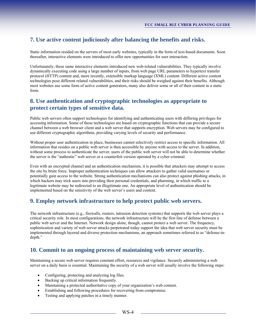# **7. Use active content judiciously after balancing the benefits and risks.**

Static information resided on the servers of most early websites, typically in the form of text-based documents. Soon thereafter, interactive elements were introduced to offer new opportunities for user interaction.

Unfortunately, these same interactive elements introduced new web-related vulnerabilities. They typically involve dynamically executing code using a large number of inputs, from web page URL parameters to hypertext transfer protocol (HTTP) content and, more recently, extensible markup language (XML) content. Different active content technologies pose different related vulnerabilities, and their risks should be weighed against their benefits. Although most websites use some form of active content generators, many also deliver some or all of their content in a static form.

### **8. Use authentication and cryptographic technologies as appropriate to protect certain types of sensitive data.**

Public web servers often support technologies for identifying and authenticating users with differing privileges for accessing information. Some of these technologies are based on cryptographic functions that can provide a secure channel between a web browser client and a web server that supports encryption. Web servers may be configured to use different cryptographic algorithms, providing varying levels of security and performance.

Without proper user authentication in place, businesses cannot selectively restrict access to specific information. All information that resides on a public web server is then accessible by anyone with access to the server. In addition, without some process to authenticate the server, users of the public web server will not be able to determine whether the server is the "authentic" web server or a counterfeit version operated by a cyber criminal.

Even with an encrypted channel and an authentication mechanism, it is possible that attackers may attempt to access the site by brute force. Improper authentication techniques can allow attackers to gather valid usernames or potentially gain access to the website. Strong authentication mechanisms can also protect against phishing attacks, in which hackers may trick users into providing their personal credentials, and pharming, in which traffic to a legitimate website may be redirected to an illegitimate one. An appropriate level of authentication should be implemented based on the sensitivity of the web server's users and content.

### **9. Employ network infrastructure to help protect public web servers.**

The network infrastructure (e.g., firewalls, routers, intrusion detection systems) that supports the web server plays a critical security role. In most configurations, the network infrastructure will be the first line of defense between a public web server and the Internet. Network design alone, though, cannot protect a web server. The frequency, sophistication and variety of web server attacks perpetrated today support the idea that web server security must be implemented through layered and diverse protection mechanisms, an approach sometimes referred to as "defense-indepth."

## **10. Commit to an ongoing process of maintaining web server security.**

Maintaining a secure web server requires constant effort, resources and vigilance. Securely administering a web server on a daily basis is essential. Maintaining the security of a web server will usually involve the following steps:

- Configuring, protecting and analyzing log files.
- Backing up critical information frequently.
- Maintaining a protected authoritative copy of your organization's web content.
- Establishing and following procedures for recovering from compromise.
- Testing and applying patches in a timely manner.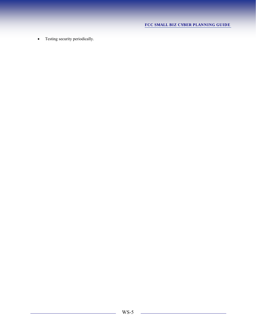• Testing security periodically.

 $\overline{\phantom{a}}$ 

<u> 1999 - Jan Ja</u>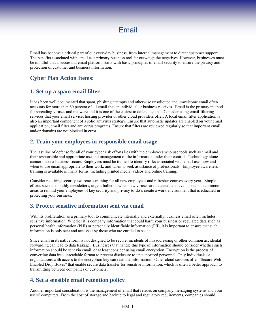

Email has become a critical part of our everyday business, from internal management to direct customer support. The benefits associated with email as a primary business tool far outweigh the negatives. However, businesses must be mindful that a successful email platform starts with basic principles of email security to ensure the privacy and protection of customer and business information.

# **Cyber Plan Action Items:**

## **1. Set up a spam email filter**

It has been well documented that spam, phishing attempts and otherwise unsolicited and unwelcome email often accounts for more than 60 percent of all email that an individual or business receives. Email is the primary method for spreading viruses and malware and it is one of the easiest to defend against. Consider using email-filtering services that your email service, hosting provider or other cloud providers offer. A local email filter application is also an important component of a solid antivirus strategy. Ensure that automatic updates are enabled on your email application, email filter and anti-virus programs. Ensure that filters are reviewed regularly so that important email and/or domains are not blocked in error.

## **2. Train your employees in responsible email usage**

The last line of defense for all of your cyber risk efforts lies with the employees who use tools such as email and their responsible and appropriate use and management of the information under their control. Technology alone cannot make a business secure. Employees must be trained to identify risks associated with email use, how and when to use email appropriate to their work, and when to seek assistance of professionals. Employee awareness training is available in many forms, including printed media, videos and online training.

Consider requiring security awareness training for all new employees and refresher courses every year. Simple efforts such as monthly newsletters, urgent bulletins when new viruses are detected, and even posters in common areas to remind your employees of key security and privacy to-do's create a work environment that is educated in protecting your business.

# **3. Protect sensitive information sent via email**

With its proliferation as a primary tool to communicate internally and externally, business email often includes sensitive information. Whether it is company information that could harm your business or regulated data such as personal health information (PHI) or personally identifiable information (PII), it is important to ensure that such information is only sent and accessed by those who are entitled to see it.

Since email in its native form is not designed to be secure, incidents of misaddressing or other common accidental forwarding can lead to data leakage. Businesses that handle this type of information should consider whether such information should be sent via email, or at least consider using email encryption. Encryption is the process of converting data into unreadable format to prevent disclosure to unauthorized personnel. Only individuals or organizations with access to the encryption key can read the information. Other cloud services offer "Secure Web Enabled Drop Boxes" that enable secure data transfer for sensitive information, which is often a better approach to transmitting between companies or customers.

# **4. Set a sensible email retention policy**

Another important consideration is the management of email that resides on company messaging systems and your users' computers. From the cost of storage and backup to legal and regulatory requirements, companies should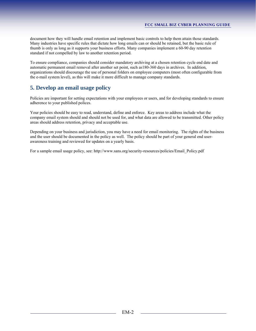document how they will handle email retention and implement basic controls to help them attain those standards. Many industries have specific rules that dictate how long emails can or should be retained, but the basic rule of thumb is only as long as it supports your business efforts. Many companies implement a 60-90 day retention standard if not compelled by law to another retention period.

To ensure compliance, companies should consider mandatory archiving at a chosen retention cycle end date and automatic permanent email removal after another set point, such as180-360 days in archives. In addition, organizations should discourage the use of personal folders on employee computers (most often configurable from the e-mail system level), as this will make it more difficult to manage company standards.

# **5. Develop an email usage policy**

Policies are important for setting expectations with your employees or users, and for developing standards to ensure adherence to your published polices.

Your policies should be easy to read, understand, define and enforce. Key areas to address include what the company email system should and should not be used for, and what data are allowed to be transmitted. Other policy areas should address retention, privacy and acceptable use.

Depending on your business and jurisdiction, you may have a need for email monitoring. The rights of the business and the user should be documented in the policy as well. The policy should be part of your general end userawareness training and reviewed for updates on a yearly basis.

For a sample email usage policy, see: http://www.sans.org/security-resources/policies/Email\_Policy.pdf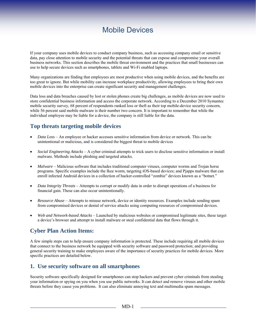# Mobile Devices

If your company uses mobile devices to conduct company business, such as accessing company email or sensitive data, pay close attention to mobile security and the potential threats that can expose and compromise your overall business networks. This section describes the mobile threat environment and the practices that small businesses can use to help secure devices such as smartphones, tablets and Wi-Fi enabled laptops.

Many organizations are finding that employees are most productive when using mobile devices, and the benefits are too great to ignore. But while mobility can increase workplace productivity, allowing employees to bring their own mobile devices into the enterprise can create significant security and management challenges.

Data loss and data breaches caused by lost or stolen phones create big challenges, as mobile devices are now used to store confidential business information and access the corporate network. According to a December 2010 Symantec mobile security survey, 68 percent of respondents ranked loss or theft as their top mobile-device security concern, while 56 percent said mobile malware is their number two concern. It is important to remember that while the individual employee may be liable for a device, the company is still liable for the data.

# **Top threats targeting mobile devices**

- *Data Loss* An employee or hacker accesses sensitive information from device or network. This can be unintentional or malicious, and is considered the biggest threat to mobile devices
- *Social Engineering Attacks* A cyber criminal attempts to trick users to disclose sensitive information or install malware. Methods include phishing and targeted attacks.
- *Malware* Malicious software that includes traditional computer viruses, computer worms and Trojan horse programs. Specific examples include the Ikee worm, targeting iOS-based devices; and Pjapps malware that can enroll infected Android devices in a collection of hacker-controlled "zombie" devices known as a "botnet."
- *Data Integrity Threats* Attempts to corrupt or modify data in order to disrupt operations of a business for financial gain. These can also occur unintentionally.
- *Resource Abuse* Attempts to misuse network, device or identity resources. Examples include sending spam from compromised devices or denial of service attacks using computing resources of compromised devices.
- *Web and Network-based Attacks* Launched by malicious websites or compromised legitimate sites, these target a device's browser and attempt to install malware or steal confidential data that flows through it.

# **Cyber Plan Action Items:**

A few simple steps can to help ensure company information is protected. These include requiring all mobile devices that connect to the business network be equipped with security software and password protection; and providing general security training to make employees aware of the importance of security practices for mobile devices. More specific practices are detailed below.

# **1. Use security software on all smartphones**

Security software specifically designed for smartphones can stop hackers and prevent cyber criminals from stealing your information or spying on you when you use public networks. It can detect and remove viruses and other mobile threats before they cause you problems. It can also eliminate annoying text and multimedia spam messages.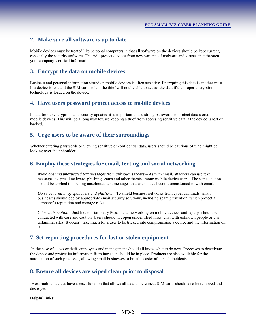# **2. Make sure all software is up to date**

Mobile devices must be treated like personal computers in that all software on the devices should be kept current, especially the security software. This will protect devices from new variants of malware and viruses that threaten your company's critical information.

## **3. Encrypt the data on mobile devices**

Business and personal information stored on mobile devices is often sensitive. Encrypting this data is another must. If a device is lost and the SIM card stolen, the thief will not be able to access the data if the proper encryption technology is loaded on the device.

### **4. Have users password protect access to mobile devices**

In addition to encryption and security updates, it is important to use strong passwords to protect data stored on mobile devices. This will go a long way toward keeping a thief from accessing sensitive data if the device is lost or hacked.

### **5. Urge users to be aware of their surroundings**

Whether entering passwords or viewing sensitive or confidential data, users should be cautious of who might be looking over their shoulder.

### **6. Employ these strategies for email, texting and social networking**

*Avoid opening unexpected text messages from unknown senders* – As with email, attackers can use text messages to spread malware, phishing scams and other threats among mobile device users. The same caution should be applied to opening unsolicited text messages that users have become accustomed to with email.

*Don't be lured in by spammers and phishers –* To shield business networks from cyber criminals, small businesses should deploy appropriate email security solutions, including spam prevention, which protect a company's reputation and manage risks.

*Click with caution* – Just like on stationary PCs, social networking on mobile devices and laptops should be conducted with care and caution. Users should not open unidentified links, chat with unknown people or visit unfamiliar sites. It doesn't take much for a user to be tricked into compromising a device and the information on it.

### **7. Set reporting procedures for lost or stolen equipment**

 In the case of a loss or theft, employees and management should all know what to do next. Processes to deactivate the device and protect its information from intrusion should be in place. Products are also available for the automation of such processes, allowing small businesses to breathe easier after such incidents.

# **8. Ensure all devices are wiped clean prior to disposal**

 Most mobile devices have a reset function that allows all data to be wiped. SIM cards should also be removed and destroyed.

### **Helpful links:**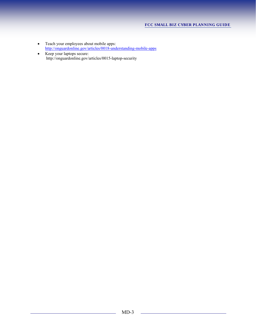- Teach your employees about mobile apps: <http://onguardonline.gov/articles/0018-understanding-mobile-apps>
- Keep your laptops secure: http://onguardonline.gov/articles/0015-laptop-security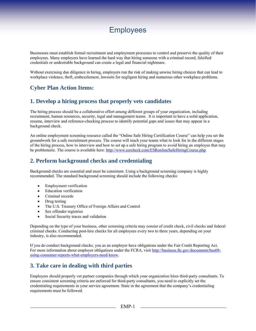# Employees

Businesses must establish formal recruitment and employment processes to control and preserve the quality of their employees. Many employers have learned the hard way that hiring someone with a criminal record, falsified credentials or undesirable background can create a legal and financial nightmare.

Without exercising due diligence in hiring, employers run the risk of making unwise hiring choices that can lead to workplace violence, theft, embezzlement, lawsuits for negligent hiring and numerous other workplace problems.

# **Cyber Plan Action Items:**

## **1. Develop a hiring process that properly vets candidates**

The hiring process should be a collaborative effort among different groups of your organization, including recruitment, human resources, security, legal and management teams. It is important to have a solid application, resume, interview and reference-checking process to identify potential gaps and issues that may appear in a background check.

An online employment screening resource called the "Online Safe Hiring Certification Course" can help you set the groundwork for a safe recruitment process. The course will teach your teams what to look for in the different stages of the hiring process, how to interview and how to set up a safe hiring program to avoid hiring an employee that may be problematic. The course is available here: <http://www.esrcheck.com/ESRonlineSafeHiringCourse.php>.

# **2. Perform background checks and credentialing**

Background checks are essential and must be consistent. Using a background screening company is highly recommended. The standard background screening should include the following checks:

- Employment verification
- Education verification
- Criminal records
- Drug testing
- The U.S. Treasury Office of Foreign Affairs and Control
- Sex offender registries
- Social Security traces and validation

Depending on the type of your business, other screening criteria may consist of credit check, civil checks and federal criminal checks. Conducting post-hire checks for all employees every two to three years, depending on your industry, is also recommended.

If you do conduct background checks, you as an employer have obligations under the Fair Credit Reporting Act. For more information about employer obligations under the FCRA, visit [http://business.ftc.gov/documents/bus08](http://business.ftc.gov/documents/bus08-using-consumer-reports-what-employers-need-know) [using-consumer-reports-what-employers-need-know.](http://business.ftc.gov/documents/bus08-using-consumer-reports-what-employers-need-know)

# **3. Take care in dealing with third parties**

Employers should properly vet partner companies through which your organization hires third-party consultants. To ensure consistent screening criteria are enforced for third-party consultants, you need to explicitly set the credentialing requirements in your service agreement. State in the agreement that the company's credentialing requirements must be followed.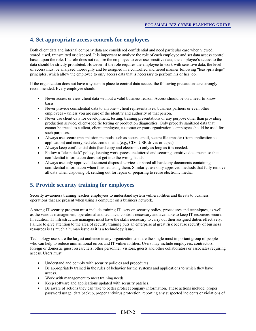# **4. Set appropriate access controls for employees**

Both client data and internal company data are considered confidential and need particular care when viewed, stored, used, transmitted or disposed. It is important to analyze the role of each employee and set data access control based upon the role. If a role does not require the employee to ever use sensitive data, the employee's access to the data should be strictly prohibited. However, if the role requires the employee to work with sensitive data, the level of access must be analyzed thoroughly and be assigned in a controlled and tiered manner following "least-privilege" principles, which allow the employee to only access data that is necessary to perform his or her job.

If the organization does not have a system in place to control data access, the following precautions are strongly recommended. Every employee should:

- Never access or view client data without a valid business reason. Access should be on a need-to-know basis.
- Never provide confidential data to anyone client representatives, business partners or even other employees – unless you are sure of the identity and authority of that person.
- Never use client data for development, testing, training presentations or any purpose other than providing production service, client-specific testing or production diagnostics. Only properly sanitized data that cannot be traced to a client, client employee, customer or your organization's employee should be used for such purposes.
- Always use secure transmission methods such as secure email, secure file transfer (from application to application) and encrypted electronic media (e.g., CDs, USB drives or tapes).
- Always keep confidential data (hard copy and electronic) only as long as it is needed.
- Follow a "clean desk" policy, keeping workspaces uncluttered and securing sensitive documents so that confidential information does not get into the wrong hands.
- Always use only approved document disposal services or shred all hardcopy documents containing confidential information when finished using them. Similarly, use only approved methods that fully remove all data when disposing of, sending out for repair or preparing to reuse electronic media.

# **5. Provide security training for employees**

Security awareness training teaches employees to understand system vulnerabilities and threats to business operations that are present when using a computer on a business network.

A strong IT security program must include training IT users on security policy, procedures and techniques, as well as the various management, operational and technical controls necessary and available to keep IT resources secure. In addition, IT infrastructure managers must have the skills necessary to carry out their assigned duties effectively. Failure to give attention to the area of security training puts an enterprise at great risk because security of business resources is as much a human issue as it is a technology issue.

Technology users are the largest audience in any organization and are the single most important group of people who can help to reduce unintentional errors and IT vulnerabilities. Users may include employees, contractors, foreign or domestic guest researchers, other personnel, visitors, guests and other collaborators or associates requiring access. Users must:

- Understand and comply with security policies and procedures.
- Be appropriately trained in the rules of behavior for the systems and applications to which they have access.
- Work with management to meet training needs.
- Keep software and applications updated with security patches.
- Be aware of actions they can take to better protect company information. These actions include: proper password usage, data backup, proper antivirus protection, reporting any suspected incidents or violations of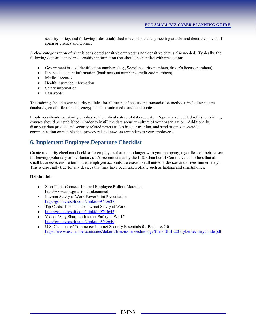security policy, and following rules established to avoid social engineering attacks and deter the spread of spam or viruses and worms.

A clear categorization of what is considered sensitive data versus non-sensitive data is also needed. Typically, the following data are considered sensitive information that should be handled with precaution:

- Government issued identification numbers (e.g., Social Security numbers, driver's license numbers)
- Financial account information (bank account numbers, credit card numbers)
- Medical records
- Health insurance information
- Salary information
- Passwords

The training should cover security policies for all means of access and transmission methods, including secure databases, email, file transfer, encrypted electronic media and hard copies.

Employers should constantly emphasize the critical nature of data security. Regularly scheduled refresher training courses should be established in order to instill the data security culture of your organization. Additionally, distribute data privacy and security related news articles in your training, and send organization-wide communication on notable data privacy related news as reminders to your employees.

# **6. Implement Employee Departure Checklist**

Create a security checkout checklist for employees that are no longer with your company, regardless of their reason for leaving (voluntary or involuntary). It's recommended by the U.S. Chamber of Commerce and others that all small businesses ensure terminated employee accounts are erased on all network devices and drives immediately. This is especially true for any devices that may have been taken offsite such as laptops and smartphones.

### **Helpful links**

- Stop.Think.Connect. Internal Employee Rollout Materials http://www.dhs.gov/stopthinkconnect
- Internet Safety at Work PowerPoint Presentation <http://go.microsoft.com/?linkid=9745638>
- Tip Cards: Top Tips for Internet Safety at Work
- <http://go.microsoft.com/?linkid=9745642>
- Video: "Stay Sharp on Internet Safety at Work" <http://go.microsoft.com/?linkid=9745640>
- U.S. Chamber of Commerce: Internet Security Essentials for Business 2.0 <https://www.uschamber.com/sites/default/files/issues/technology/files/ISEB-2.0-CyberSecurityGuide.pdf>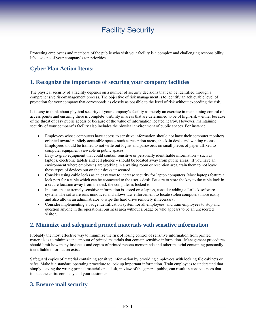# Facility Security

Protecting employees and members of the public who visit your facility is a complex and challenging responsibility. It's also one of your company's top priorities.

# **Cyber Plan Action Items:**

# **1. Recognize the importance of securing your company facilities**

The physical security of a facility depends on a number of security decisions that can be identified through a comprehensive risk-management process. The objective of risk management is to identify an achievable level of protection for your company that corresponds as closely as possible to the level of risk without exceeding the risk.

It is easy to think about physical security of your company's facility as merely an exercise in maintaining control of access points and ensuring there is complete visibility in areas that are determined to be of high-risk – either because of the threat of easy public access or because of the value of information located nearby. However, maintaining security of your company's facility also includes the physical environment of public spaces. For instance:

- Employees whose computers have access to sensitive information should not have their computer monitors oriented toward publicly accessible spaces such as reception areas, check-in desks and waiting rooms. Employees should be trained to not write out logins and passwords on small pieces of paper affixed to computer equipment viewable in public spaces.
- Easy-to-grab equipment that could contain sensitive or personally identifiable information such as laptops, electronic tablets and cell phones – should be located away from public areas. If you have an environment where employees are working in a waiting room or reception area, train them to not leave these types of devices out on their desks unsecured.
- Consider using cable locks as an easy way to increase security for laptop computers. Most laptops feature a lock port for a cable which can be connected to the user's desk. Be sure to store the key to the cable lock in a secure location away from the desk the computer is locked to.
- In cases that extremely sensitive information is stored on a laptop, consider adding a LoJack software system. The software runs unnoticed and allows law enforcement to locate stolen computers more easily and also allows an administrator to wipe the hard drive remotely if necessary.
- Consider implementing a badge identification system for all employees, and train employees to stop and question anyone in the operational business area without a badge or who appears to be an unescorted visitor.

# **2. Minimize and safeguard printed materials with sensitive information**

Probably the most effective way to minimize the risk of losing control of sensitive information from printed materials is to minimize the amount of printed materials that contain sensitive information. Management procedures should limit how many instances and copies of printed reports memoranda and other material containing personally identifiable information exist.

Safeguard copies of material containing sensitive information by providing employees with locking file cabinets or safes. Make it a standard operating procedure to lock up important information. Train employees to understand that simply leaving the wrong printed material on a desk, in view of the general public, can result in consequences that impact the entire company and your customers.

# **3. Ensure mail security**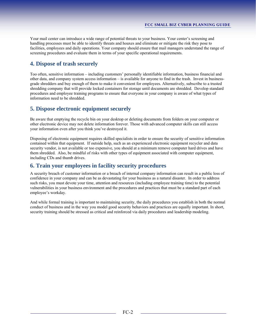Your mail center can introduce a wide range of potential threats to your business. Your center's screening and handling processes must be able to identify threats and hoaxes and eliminate or mitigate the risk they pose to facilities, employees and daily operations. Your company should ensure that mail managers understand the range of screening procedures and evaluate them in terms of your specific operational requirements.

# **4. Dispose of trash securely**

Too often, sensitive information – including customers' personally identifiable information, business financial and other data, and company system access information – is available for anyone to find in the trash. Invest in businessgrade shredders and buy enough of them to make it convenient for employees. Alternatively, subscribe to a trusted shredding company that will provide locked containers for storage until documents are shredded. Develop standard procedures and employee training programs to ensure that everyone in your company is aware of what types of information need to be shredded.

# **5. Dispose electronic equipment securely**

Be aware that emptying the recycle bin on your desktop or deleting documents from folders on your computer or other electronic device may not delete information forever. Those with advanced computer skills can still access your information even after you think you've destroyed it.

Disposing of electronic equipment requires skilled specialists in order to ensure the security of sensitive information contained within that equipment. If outside help, such as an experienced electronic equipment recycler and data security vendor, is not available or too expensive, you should at a minimum remove computer hard drives and have them shredded. Also, be mindful of risks with other types of equipment associated with computer equipment, including CDs and thumb drives.

### **6. Train your employees in facility security procedures**

A security breach of customer information or a breach of internal company information can result in a public loss of confidence in your company and can be as devastating for your business as a natural disaster. In order to address such risks, you must devote your time, attention and resources (including employee training time) to the potential vulnerabilities in your business environment and the procedures and practices that must be a standard part of each employee's workday.

And while formal training is important to maintaining security, the daily procedures you establish in both the normal conduct of business and in the way you model good security behaviors and practices are equally important. In short, security training should be stressed as critical and reinforced via daily procedures and leadership modeling.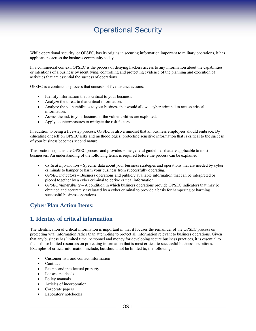# Operational Security

While operational security, or OPSEC, has its origins in securing information important to military operations, it has applications across the business community today.

In a commercial context, OPSEC is the process of denying hackers access to any information about the capabilities or intentions of a business by identifying, controlling and protecting evidence of the planning and execution of activities that are essential the success of operations.

OPSEC is a continuous process that consists of five distinct actions:

- Identify information that is critical to your business.
- Analyze the threat to that critical information.
- Analyze the vulnerabilities to your business that would allow a cyber criminal to access critical information.
- Assess the risk to your business if the vulnerabilities are exploited.
- Apply countermeasures to mitigate the risk factors.

In addition to being a five-step process, OPSEC is also a mindset that all business employees should embrace. By educating oneself on OPSEC risks and methodologies, protecting sensitive information that is critical to the success of your business becomes second nature.

This section explains the OPSEC process and provides some general guidelines that are applicable to most businesses. An understanding of the following terms is required before the process can be explained:

- *Critical information* Specific data about your business strategies and operations that are needed by cyber criminals to hamper or harm your business from successfully operating.
- *OPSEC indicators* Business operations and publicly available information that can be interpreted or pieced together by a cyber criminal to derive critical information.
- *OPSEC vulnerability* A condition in which business operations provide OPSEC indicators that may be obtained and accurately evaluated by a cyber criminal to provide a basis for hampering or harming successful business operations.

# **Cyber Plan Action Items:**

# **1. Identity of critical information**

The identification of critical information is important in that it focuses the remainder of the OPSEC process on protecting vital information rather than attempting to protect all information relevant to business operations. Given that any business has limited time, personnel and money for developing secure business practices, it is essential to focus those limited resources on protecting information that is most critical to successful business operations. Examples of critical information include, but should not be limited to, the following:

- Customer lists and contact information
- **Contracts**
- Patents and intellectual property
- Leases and deeds
- Policy manuals
- Articles of incorporation
- Corporate papers
- Laboratory notebooks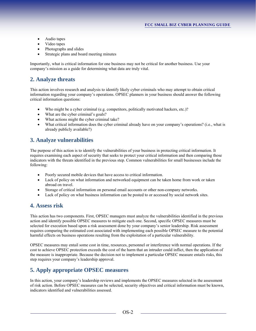- Audio tapes
- Video tapes
- Photographs and slides
- Strategic plans and board meeting minutes

Importantly, what is critical information for one business may not be critical for another business. Use your company's mission as a guide for determining what data are truly vital.

# **2. Analyze threats**

This action involves research and analysis to identify likely cyber criminals who may attempt to obtain critical information regarding your company's operations. OPSEC planners in your business should answer the following critical information questions:

- Who might be a cyber criminal (e.g. competitors, politically motivated hackers, etc.)?
- What are the cyber criminal's goals?
- What actions might the cyber criminal take?
- What critical information does the cyber criminal already have on your company's operations? (i.e., what is already publicly available?)

## **3. Analyze vulnerabilities**

The purpose of this action is to identify the vulnerabilities of your business in protecting critical information. It requires examining each aspect of security that seeks to protect your critical information and then comparing those indicators with the threats identified in the previous step. Common vulnerabilities for small businesses include the following:

- Poorly secured mobile devices that have access to critical information.
- Lack of policy on what information and networked equipment can be taken home from work or taken abroad on travel.
- Storage of critical information on personal email accounts or other non-company networks.
- Lack of policy on what business information can be posted to or accessed by social network sites.

### **4. Assess risk**

This action has two components. First, OPSEC managers must analyze the vulnerabilities identified in the previous action and identify possible OPSEC measures to mitigate each one. Second, specific OPSEC measures must be selected for execution based upon a risk assessment done by your company's senior leadership. Risk assessment requires comparing the estimated cost associated with implementing each possible OPSEC measure to the potential harmful effects on business operations resulting from the exploitation of a particular vulnerability.

OPSEC measures may entail some cost in time, resources, personnel or interference with normal operations. If the cost to achieve OPSEC protection exceeds the cost of the harm that an intruder could inflict, then the application of the measure is inappropriate. Because the decision not to implement a particular OPSEC measure entails risks, this step requires your company's leadership approval.

# **5. Apply appropriate OPSEC measures**

In this action, your company's leadership reviews and implements the OPSEC measures selected in the assessment of risk action. Before OPSEC measures can be selected, security objectives and critical information must be known, indicators identified and vulnerabilities assessed.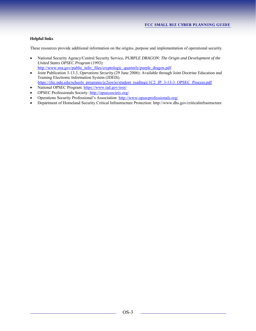### **Helpful links**

These resources provide additional information on the origins, purpose and implementation of operational security.

- National Security Agency/Central Security Service, *PURPLE DRAGON: The Origin and Development of the United States OPSEC Program* (1993): [http://www.nsa.gov/public\\_info/\\_files/cryptologic\\_quarterly/purple\\_dragon.pdf](http://www.nsa.gov/public_info/_files/cryptologic_quarterly/purple_dragon.pdf)
- Joint Publication 3-13.3, *Operations Security* (29 June 2006): Available through Joint Doctrine Education and Training Electronic Information System (JDEIS).
- [https://jfsc.ndu.edu/schools\\_programs/jc2ios/io/student\\_readings/1C2\\_JP\\_3-13-3\\_OPSEC\\_Process.pdf](https://jfsc.ndu.edu/schools_programs/jc2ios/io/student_readings/1C2_JP_3-13-3_OPSEC_Process.pdf)
- National OPSEC Program:<https://www.iad.gov/ioss/>
- OPSEC Professionals Society: <http://opsecsociety.org/>
- Operations Security Professional's Association: <http://www.opsecprofessionals.org/>
- Department of Homeland Security Critical Infrastructure Protection: http://www.dhs.gov/criticalinfrastructure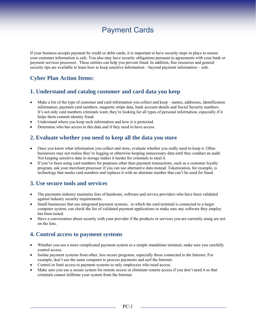# Payment Cards

If your business accepts payment by credit or debit cards, it is important to have security steps in place to ensure your customer information is safe. You also may have security obligations pursuant to agreements with your bank or payment services processor. These entities can help you prevent fraud. In addition, free resources and general security tips are available to learn how to keep sensitive information – beyond payment information – safe.

# **Cyber Plan Action Items:**

# **1. Understand and catalog customer and card data you keep**

- Make a list of the type of customer and card information you collect and keep names, addresses, identification information, payment card numbers, magnetic stripe data, bank account details and Social Security numbers. It's not only card numbers criminals want; they're looking for all types of personal information, especially if it helps them commit identity fraud.
- Understand where you keep such information and how it is protected.
- Determine who has access to this data and if they need to have access.

# **2. Evaluate whether you need to keep all the data you store**

- Once you know what information you collect and store, evaluate whether you really need to keep it. Often businesses may not realize they're logging or otherwise keeping unnecessary data until they conduct an audit. Not keeping sensitive data in storage makes it harder for criminals to steal it.
- If you've been using card numbers for purposes other than payment transactions, such as a customer loyalty program, ask your merchant processor if you can use alternative data instead. Tokenization, for example, is technology that masks card numbers and replaces it with an alternate number that can't be used for fraud.

# **3. Use secure tools and services**

- The payments industry maintains lists of hardware, software and service providers who have been validated against industry security requirements.
- Small businesses that use integrated payment systems, in which the card terminal is connected to a larger computer system, can check the list of validated payment applications to make sure any software they employ has been tested.
- Have a conversation about security with your provider if the products or services you are currently using are not on the lists.

### **4. Control access to payment systems**

- Whether you use a more complicated payment system or a simple standalone terminal, make sure you carefully control access.
- Isolate payment systems from other, less secure programs, especially those connected to the Internet. For example, don't use the same computer to process payments and surf the Internet.
- Control or limit access to payment systems to only employees who need access.
- Make sure you use a secure system for remote access or eliminate remote access if you don't need it so that criminals cannot infiltrate your system from the Internet.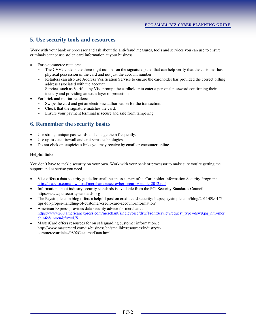# **5. Use security tools and resources**

Work with your bank or processor and ask about the anti-fraud measures, tools and services you can use to ensure criminals cannot use stolen card information at your business.

- For e-commerce retailers:
	- The CVV2 code is the three-digit number on the signature panel that can help verify that the customer has physical possession of the card and not just the account number.
	- Retailers can also use Address Verification Service to ensure the cardholder has provided the correct billing address associated with the account.
	- Services such as Verified by Visa prompt the cardholder to enter a personal password confirming their identity and providing an extra layer of protection.
- For brick and mortar retailers:
	- Swipe the card and get an electronic authorization for the transaction.
	- Check that the signature matches the card.
	- Ensure your payment terminal is secure and safe from tampering.

### **6. Remember the security basics**

- Use strong, unique passwords and change them frequently.
- Use up-to-date firewall and anti-virus technologies.
- Do not click on suspicious links you may receive by email or encounter online.

#### **Helpful links**

You don't have to tackle security on your own. Work with your bank or processor to make sure you're getting the support and expertise you need.

- Visa offers a data security guide for small business as part of its Cardholder Information Security Program: <http://usa.visa.com/download/merchants/uscc-cyber-security-guide-2012.pdf>
- Information about industry security standards is available from the PCI Security Standards Council: https://www.pcisecuritystandards.org
- The Paysimple.com blog offers a helpful post on credit card security: http://paysimple.com/blog/2011/09/01/5 tips-for-proper-handling-of-customer-credit-card-account-information/
- American Express provides data security advice for merchants: [https://www260.americanexpress.com/merchant/singlevoice/dsw/FrontServlet?request\\_type=dsw&pg\\_nm=mer](https://www260.americanexpress.com/merchant/singlevoice/dsw/FrontServlet?request_type=dsw&pg_nm=merchinfo&ln=en&frm=US) [chinfo&ln=en&frm=US](https://www260.americanexpress.com/merchant/singlevoice/dsw/FrontServlet?request_type=dsw&pg_nm=merchinfo&ln=en&frm=US)
- MasterCard offers resources for on safeguarding customer information. : http://www.mastercard.com/us/business/en/smallbiz/resources/industry/ecommerce/articles/0802CustomerData.html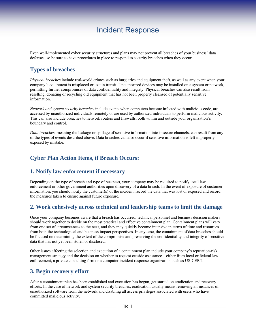# Incident Response

Even well-implemented cyber security structures and plans may not prevent all breaches of your business' data defenses, so be sure to have procedures in place to respond to security breaches when they occur.

# **Types of breaches**

*Physical breaches* include real-world crimes such as burglaries and equipment theft, as well as any event when your company's equipment is misplaced or lost in transit. Unauthorized devices may be installed on a system or network, permitting further compromises of data confidentiality and integrity. Physical breaches can also result from reselling, donating or recycling old equipment that has not been properly cleansed of potentially sensitive information.

*Network and system security breaches* include events when computers become infected with malicious code, are accessed by unauthorized individuals remotely or are used by authorized individuals to perform malicious activity. This can also include breaches to network routers and firewalls, both within and outside your organization's boundary and control.

*Data breaches*, meaning the leakage or spillage of sensitive information into insecure channels, can result from any of the types of events described above. Data breaches can also occur if sensitive information is left improperly exposed by mistake.

# **Cyber Plan Action Items, if Breach Occurs:**

# **1. Notify law enforcement if necessary**

Depending on the type of breach and type of business, your company may be required to notify local law enforcement or other government authorities upon discovery of a data breach. In the event of exposure of customer information, you should notify the customer(s) of the incident, record the data that was lost or exposed and record the measures taken to ensure against future exposure.

### **2. Work cohesively across technical and leadership teams to limit the damage**

Once your company becomes aware that a breach has occurred, technical personnel and business decision makers should work together to decide on the most practical and effective containment plan. Containment plans will vary from one set of circumstances to the next, and they may quickly become intensive in terms of time and resources from both the technological and business impact perspectives. In any case, the containment of data breaches should be focused on determining the extent of the compromise and preserving the confidentiality and integrity of sensitive data that has not yet been stolen or disclosed.

Other issues affecting the selection and execution of a containment plan include your company's reputation-risk management strategy and the decision on whether to request outside assistance – either from local or federal law enforcement, a private consulting firm or a computer incident response organization such as US-CERT.

### **3. Begin recovery effort**

After a containment plan has been established and execution has begun, get started on eradication and recovery efforts. In the case of network and system security breaches, eradication usually means removing all instances of unauthorized software from the network and disabling all access privileges associated with users who have committed malicious activity.

 $IR-1$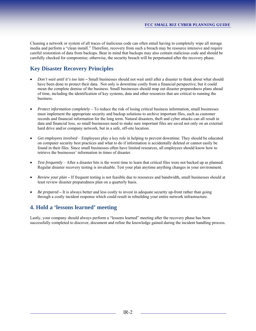Cleaning a network or system of all traces of malicious code can often entail having to completely wipe all storage media and perform a "clean install." Therefore, recovery from such a breach may be resource intensive and require careful restoration of data from backups. Bear in mind that backups may also contain malicious code and should be carefully checked for compromise; otherwise, the security breach will be perpetuated after the recovery phase.

# **Key Disaster Recovery Principles**

- *Don't wait until it's too late*Small businesses should not wait until after a disaster to think about what should have been done to protect their data. Not only is downtime costly from a financial perspective, but it could mean the complete demise of the business. Small businesses should map out disaster preparedness plans ahead of time, including the identification of key systems, data and other resources that are critical to running the business.
- *Protect information completely* To reduce the risk of losing critical business information, small businesses must implement the appropriate security and backup solutions to archive important files, such as customer records and financial information for the long term. Natural disasters, theft and cyber attacks can all result in data and financial loss, so small businesses need to make sure important files are saved not only on an external hard drive and/or company network, but in a safe, off-site location.
- *Get employees involved* Employees play a key role in helping to prevent downtime. They should be educated on computer security best practices and what to do if information is accidentally deleted or cannot easily be found in their files. Since small businesses often have limited resources, all employees should know how to retrieve the businesses' information in times of disaster.
- *Test frequently* After a disaster hits is the worst time to learn that critical files were not backed up as planned. Regular disaster recovery testing is invaluable. Test your plan anytime anything changes in your environment.
- *Review your plan* If frequent testing is not feasible due to resources and bandwidth, small businesses should at least review disaster preparedness plan on a quarterly basis.
- *Be prepared* It is always better and less costly to invest in adequate security up-front rather than going through a costly incident response which could result in rebuilding your entire network infrastructure.

### **4. Hold a 'lessons learned' meeting**

Lastly, your company should always perform a "lessons learned" meeting after the recovery phase has been successfully completed to discover, document and refine the knowledge gained during the incident handling process.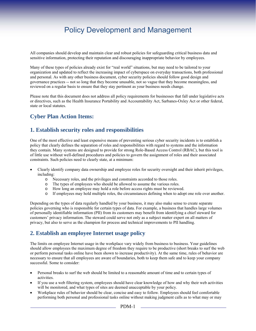# Policy Development and Management

All companies should develop and maintain clear and robust policies for safeguarding critical business data and sensitive information, protecting their reputation and discouraging inappropriate behavior by employees.

Many of these types of policies already exist for "real world" situations, but may need to be tailored to your organization and updated to reflect the increasing impact of cyberspace on everyday transactions, both professional and personal. As with any other business document, cyber security policies should follow good design and governance practices -- not so long that they become unusable, not so vague that they become meaningless, and reviewed on a regular basis to ensure that they stay pertinent as your business needs change.

Please note that this document does not address all policy requirements for businesses that fall under legislative acts or directives, such as the Health Insurance Portability and Accountability Act, Sarbanes-Oxley Act or other federal, state or local statutes.

## **Cyber Plan Action Items:**

### **1. Establish security roles and responsibilities**

One of the most effective and least expensive means of preventing serious cyber security incidents is to establish a policy that clearly defines the separation of roles and responsibilities with regard to systems and the information they contain. Many systems are designed to provide for strong Role-Based Access Control (RBAC), but this tool is of little use without well-defined procedures and policies to govern the assignment of roles and their associated constraints. Such policies need to clearly state, at a minimum:

- Clearly identify company data ownership and employee roles for security oversight and their inherit privileges, including:
	- o Necessary roles, and the privileges and constraints accorded to those roles.
	- o The types of employees who should be allowed to assume the various roles.
	- o How long an employee may hold a role before access rights must be reviewed.
	- o If employees may hold multiple roles, the circumstances defining when to adopt one role over another.

Depending on the types of data regularly handled by your business, it may also make sense to create separate policies governing who is responsible for certain types of data. For example, a business that handles large volumes of personally identifiable information (PII) from its customers may benefit from identifying a chief steward for customers' privacy information. The steward could serve not only as a subject matter expert on all matters of privacy, but also to serve as the champion for process and technical improvements to PII handling.

# **2. Establish an employee Internet usage policy**

The limits on employee Internet usage in the workplace vary widely from business to business. Your guidelines should allow employees the maximum degree of freedom they require to be productive (short breaks to surf the web or perform personal tasks online have been shown to increase productivity). At the same time, rules of behavior are necessary to ensure that all employees are aware of boundaries, both to keep them safe and to keep your company successful. Some to consider:

- Personal breaks to surf the web should be limited to a reasonable amount of time and to certain types of activities.
- If you use a web filtering system, employees should have clear knowledge of how and why their web activities will be monitored, and what types of sites are deemed unacceptable by your policy.
- Workplace rules of behavior should be clear, concise and easy to follow. Employees should feel comfortable performing both personal and professional tasks online without making judgment calls as to what may or may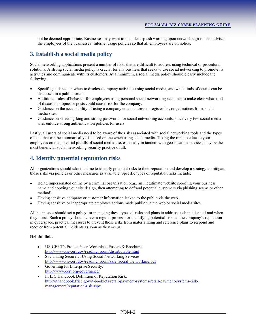not be deemed appropriate. Businesses may want to include a splash warning upon network sign-on that advises the employees of the businesses' Internet usage policies so that all employees are on notice.

# **3. Establish a social media policy**

Social networking applications present a number of risks that are difficult to address using technical or procedural solutions. A strong social media policy is crucial for any business that seeks to use social networking to promote its activities and communicate with its customers. At a minimum, a social media policy should clearly include the following:

- Specific guidance on when to disclose company activities using social media, and what kinds of details can be discussed in a public forum.
- Additional rules of behavior for employees using personal social networking accounts to make clear what kinds of discussion topics or posts could cause risk for the company.
- Guidance on the acceptability of using a company email address to register for, or get notices from, social media sites.
- Guidance on selecting long and strong passwords for social networking accounts, since very few social media sites enforce strong authentication policies for users.

Lastly, all users of social media need to be aware of the risks associated with social networking tools and the types of data that can be automatically disclosed online when using social media. Taking the time to educate your employees on the potential pitfalls of social media use, especially in tandem with geo-location services, may be the most beneficial social networking security practice of all.

# **4. Identify potential reputation risks**

All organizations should take the time to identify potential risks to their reputation and develop a strategy to mitigate those risks via policies or other measures as available. Specific types of reputation risks include:

- Being impersonated online by a criminal organization (e.g., an illegitimate website spoofing your business name and copying your site design, then attempting to defraud potential customers via phishing scams or other method).
- Having sensitive company or customer information leaked to the public via the web.
- Having sensitive or inappropriate employee actions made public via the web or social media sites.

All businesses should set a policy for managing these types of risks and plans to address such incidents if and when they occur. Such a policy should cover a regular process for identifying potential risks to the company's reputation in cyberspace, practical measures to prevent those risks from materializing and reference plans to respond and recover from potential incidents as soon as they occur.

#### **Helpful links**

- US-CERT's Protect Your Workplace Posters & Brochure: [http://www.us-cert.gov/reading\\_room/distributable.html](http://www.us-cert.gov/reading_room/distributable.html)
- Socializing Securely: Using Social Networking Services: [http://www.us-cert.gov/reading\\_room/safe\\_social\\_networking.pdf](http://www.us-cert.gov/reading_room/safe_social_networking.pdf)
- Governing for Enterprise Security: <http://www.cert.org/governance/>
- FFIEC Handbook Definition of Reputation Risk: [http://ithandbook.ffiec.gov/it-booklets/retail-payment-systems/retail-payment-systems-risk](http://ithandbook.ffiec.gov/it-booklets/retail-payment-systems/retail-payment-systems-risk-management/reputation-risk.aspx)[management/reputation-risk.aspx](http://ithandbook.ffiec.gov/it-booklets/retail-payment-systems/retail-payment-systems-risk-management/reputation-risk.aspx)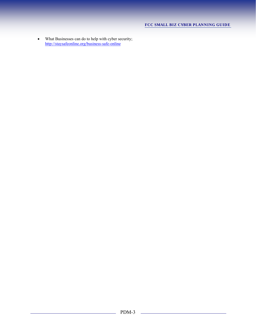• What Businesses can do to help with cyber security; <http://staysafeonline.org/business-safe-online>

 $\equiv$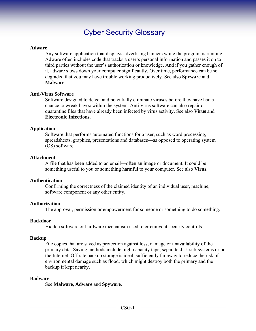# Cyber Security Glossary

### **Adware**

Any software application that displays advertising banners while the program is running. Adware often includes code that tracks a user's personal information and passes it on to third parties without the user's authorization or knowledge. And if you gather enough of it, adware slows down your computer significantly. Over time, performance can be so degraded that you may have trouble working productively. See also **Spyware** and **Malware**.

### **Anti-Virus Software**

Software designed to detect and potentially eliminate viruses before they have had a chance to wreak havoc within the system. Anti-virus software can also repair or quarantine files that have already been infected by virus activity. See also **Virus** and **Electronic Infections**.

### **Application**

Software that performs automated functions for a user, such as word processing, spreadsheets, graphics, presentations and databases—as opposed to operating system (OS) software.

### **Attachment**

A file that has been added to an email—often an image or document. It could be something useful to you or something harmful to your computer. See also **Virus**.

### **Authentication**

Confirming the correctness of the claimed identity of an individual user, machine, software component or any other entity.

### **Authorization**

The approval, permission or empowerment for someone or something to do something.

### **Backdoor**

Hidden software or hardware mechanism used to circumvent security controls.

### **Backup**

File copies that are saved as protection against loss, damage or unavailability of the primary data. Saving methods include high-capacity tape, separate disk sub-systems or on the Internet. Off-site backup storage is ideal, sufficiently far away to reduce the risk of environmental damage such as flood, which might destroy both the primary and the backup if kept nearby.

### **Badware**

See **Malware**, **Adware** and **Spyware**.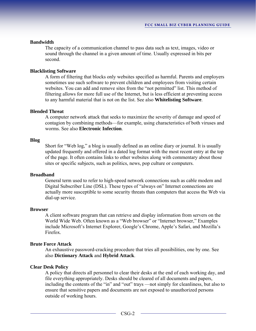### **Bandwidth**

The capacity of a communication channel to pass data such as text, images, video or sound through the channel in a given amount of time. Usually expressed in bits per second.

### **Blacklisting Software**

A form of filtering that blocks only websites specified as harmful. Parents and employers sometimes use such software to prevent children and employees from visiting certain websites. You can add and remove sites from the "not permitted" list. This method of filtering allows for more full use of the Internet, but is less efficient at preventing access to any harmful material that is not on the list. See also **Whitelisting Software**.

### **Blended Threat**

A computer network attack that seeks to maximize the severity of damage and speed of contagion by combining methods—for example, using characteristics of both viruses and worms. See also **Electronic Infection**.

### **Blog**

Short for "Web log," a blog is usually defined as an online diary or journal. It is usually updated frequently and offered in a dated log format with the most recent entry at the top of the page. It often contains links to other websites along with commentary about those sites or specific subjects, such as politics, news, pop culture or computers.

### **Broadband**

General term used to refer to high-speed network connections such as cable modem and Digital Subscriber Line (DSL). These types of "always on" Internet connections are actually more susceptible to some security threats than computers that access the Web via dial-up service.

### **Browser**

A client software program that can retrieve and display information from servers on the World Wide Web. Often known as a "Web browser" or "Internet browser," Examples include Microsoft's Internet Explorer, Google's Chrome, Apple's Safari, and Mozilla's Firefox.

### **Brute Force Attack**

An exhaustive password-cracking procedure that tries all possibilities, one by one. See also **Dictionary Attack** and **Hybrid Attack**.

### **Clear Desk Policy**

A policy that directs all personnel to clear their desks at the end of each working day, and file everything appropriately. Desks should be cleared of all documents and papers, including the contents of the "in" and "out" trays —not simply for cleanliness, but also to ensure that sensitive papers and documents are not exposed to unauthorized persons outside of working hours.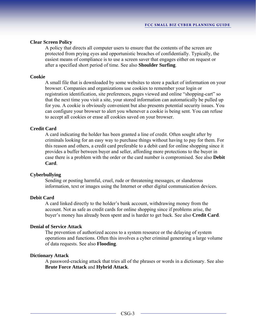### **Clear Screen Policy**

A policy that directs all computer users to ensure that the contents of the screen are protected from prying eyes and opportunistic breaches of confidentially. Typically, the easiest means of compliance is to use a screen saver that engages either on request or after a specified short period of time. See also **Shoulder Surfing**.

### **Cookie**

A small file that is downloaded by some websites to store a packet of information on your browser. Companies and organizations use cookies to remember your login or registration identification, site preferences, pages viewed and online "shopping-cart" so that the next time you visit a site, your stored information can automatically be pulled up for you. A cookie is obviously convenient but also presents potential security issues. You can configure your browser to alert you whenever a cookie is being sent. You can refuse to accept all cookies or erase all cookies saved on your browser.

### **Credit Card**

A card indicating the holder has been granted a line of credit. Often sought after by criminals looking for an easy way to purchase things without having to pay for them. For this reason and others, a credit card preferable to a debit card for online shopping since it provides a buffer between buyer and seller, affording more protections to the buyer in case there is a problem with the order or the card number is compromised. See also **Debit Card**.

### **Cyberbullying**

Sending or posting harmful, cruel, rude or threatening messages, or slanderous information, text or images using the Internet or other digital communication devices.

### **Debit Card**

A card linked directly to the holder's bank account, withdrawing money from the account. Not as safe as credit cards for online shopping since if problems arise, the buyer's money has already been spent and is harder to get back. See also **Credit Card**.

### **Denial of Service Attack**

The prevention of authorized access to a system resource or the delaying of system operations and functions. Often this involves a cyber criminal generating a large volume of data requests. See also **Flooding**.

### **Dictionary Attack**

A password-cracking attack that tries all of the phrases or words in a dictionary. See also **Brute Force Attack** and **Hybrid Attack**.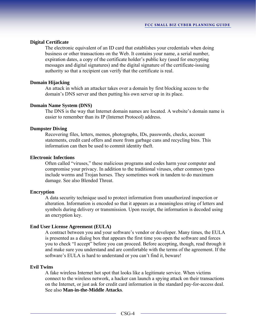### **Digital Certificate**

The electronic equivalent of an ID card that establishes your credentials when doing business or other transactions on the Web. It contains your name, a serial number, expiration dates, a copy of the certificate holder's public key (used for encrypting messages and digital signatures) and the digital signature of the certificate-issuing authority so that a recipient can verify that the certificate is real.

### **Domain Hijacking**

An attack in which an attacker takes over a domain by first blocking access to the domain's DNS server and then putting his own server up in its place.

### **Domain Name System (DNS)**

The DNS is the way that Internet domain names are located. A website's domain name is easier to remember than its IP (Internet Protocol) address.

### **Dumpster Diving**

Recovering files, letters, memos, photographs, IDs, passwords, checks, account statements, credit card offers and more from garbage cans and recycling bins. This information can then be used to commit identity theft.

### **Electronic Infections**

Often called "viruses," these malicious programs and codes harm your computer and compromise your privacy. In addition to the traditional viruses, other common types include worms and Trojan horses. They sometimes work in tandem to do maximum damage. See also Blended Threat.

### **Encryption**

A data security technique used to protect information from unauthorized inspection or alteration. Information is encoded so that it appears as a meaningless string of letters and symbols during delivery or transmission. Upon receipt, the information is decoded using an encryption key.

### **End User License Agreement (EULA)**

A contract between you and your software's vendor or developer. Many times, the EULA is presented as a dialog box that appears the first time you open the software and forces you to check "I accept" before you can proceed. Before accepting, though, read through it and make sure you understand and are comfortable with the terms of the agreement. If the software's EULA is hard to understand or you can't find it, beware!

### **Evil Twins**

A fake wireless Internet hot spot that looks like a legitimate service. When victims connect to the wireless network, a hacker can launch a spying attack on their transactions on the Internet, or just ask for credit card information in the standard pay-for-access deal. See also **Man-in-the-Middle Attacks**.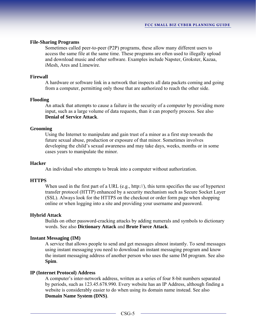### **File-Sharing Programs**

Sometimes called peer-to-peer (P2P) programs, these allow many different users to access the same file at the same time. These programs are often used to illegally upload and download music and other software. Examples include Napster, Grokster, Kazaa, iMesh, Ares and Limewire.

### **Firewall**

A hardware or software link in a network that inspects all data packets coming and going from a computer, permitting only those that are authorized to reach the other side.

### **Flooding**

An attack that attempts to cause a failure in the security of a computer by providing more input, such as a large volume of data requests, than it can properly process. See also **Denial of Service Attack**.

### **Grooming**

Using the Internet to manipulate and gain trust of a minor as a first step towards the future sexual abuse, production or exposure of that minor. Sometimes involves developing the child's sexual awareness and may take days, weeks, months or in some cases years to manipulate the minor.

### **Hacker**

An individual who attempts to break into a computer without authorization.

### **HTTPS**

When used in the first part of a URL (e.g., http://), this term specifies the use of hypertext transfer protocol (HTTP) enhanced by a security mechanism such as Secure Socket Layer (SSL). Always look for the HTTP*S* on the checkout or order form page when shopping online or when logging into a site and providing your username and password.

### **Hybrid Attack**

Builds on other password-cracking attacks by adding numerals and symbols to dictionary words. See also **Dictionary Attack** and **Brute Force Attack**.

### **Instant Messaging (IM)**

A service that allows people to send and get messages almost instantly. To send messages using instant messaging you need to download an instant messaging program and know the instant messaging address of another person who uses the same IM program. See also **Spim**.

### **IP (Internet Protocol) Address**

A computer's inter-network address, written as a series of four 8-bit numbers separated by periods, such as 123.45.678.990. Every website has an IP Address, although finding a website is considerably easier to do when using its domain name instead. See also **Domain Name System (DNS)**.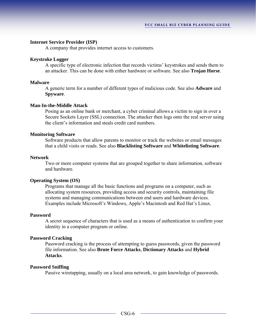### **Internet Service Provider (ISP)**

A company that provides internet access to customers.

### **Keystroke Logger**

A specific type of electronic infection that records victims' keystrokes and sends them to an attacker. This can be done with either hardware or software. See also **Trojan Horse**.

### **Malware**

A generic term for a number of different types of malicious code. See also **Adware** and **Spyware**.

### **Man-In-the-Middle Attack**

Posing as an online bank or merchant, a cyber criminal allows a victim to sign in over a Secure Sockets Layer (SSL) connection. The attacker then logs onto the real server using the client's information and steals credit card numbers.

### **Monitoring Software**

Software products that allow parents to monitor or track the websites or email messages that a child visits or reads. See also **Blacklisting Software** and **Whitelisting Software**.

### **Network**

Two or more computer systems that are grouped together to share information, software and hardware.

### **Operating System (OS)**

Programs that manage all the basic functions and programs on a computer, such as allocating system resources, providing access and security controls, maintaining file systems and managing communications between end users and hardware devices. Examples include Microsoft's Windows, Apple's Macintosh and Red Hat's Linux.

### **Password**

A secret sequence of characters that is used as a means of authentication to confirm your identity in a computer program or online.

### **Password Cracking**

Password cracking is the process of attempting to guess passwords, given the password file information. See also **Brute Force Attacks**, **Dictionary Attacks** and **Hybrid Attacks**.

### **Password Sniffing**

Passive wiretapping, usually on a local area network, to gain knowledge of passwords.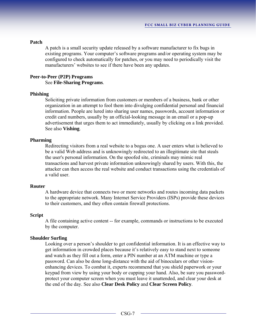### **Patch**

A patch is a small security update released by a software manufacturer to fix bugs in existing programs. Your computer's software programs and/or operating system may be configured to check automatically for patches, or you may need to periodically visit the manufacturers' websites to see if there have been any updates.

### **Peer-to-Peer (P2P) Programs**  See **File-Sharing Programs**.

### **Phishing**

Soliciting private information from customers or members of a business, bank or other organization in an attempt to fool them into divulging confidential personal and financial information. People are lured into sharing user names, passwords, account information or credit card numbers, usually by an official-looking message in an email or a pop-up advertisement that urges them to act immediately, usually by clicking on a link provided. See also **Vishing**.

### **Pharming**

Redirecting visitors from a real website to a bogus one. A user enters what is believed to be a valid Web address and is unknowingly redirected to an illegitimate site that steals the user's personal information. On the spoofed site, criminals may mimic real transactions and harvest private information unknowingly shared by users. With this, the attacker can then access the real website and conduct transactions using the credentials of a valid user.

### **Router**

A hardware device that connects two or more networks and routes incoming data packets to the appropriate network. Many Internet Service Providers (ISPs) provide these devices to their customers, and they often contain firewall protections.

### **Script**

A file containing active content -- for example, commands or instructions to be executed by the computer.

### **Shoulder Surfing**

Looking over a person's shoulder to get confidential information. It is an effective way to get information in crowded places because it's relatively easy to stand next to someone and watch as they fill out a form, enter a PIN number at an ATM machine or type a password. Can also be done long-distance with the aid of binoculars or other visionenhancing devices. To combat it, experts recommend that you shield paperwork or your keypad from view by using your body or cupping your hand. Also, be sure you passwordprotect your computer screen when you must leave it unattended, and clear your desk at the end of the day. See also **Clear Desk Policy** and **Clear Screen Policy**.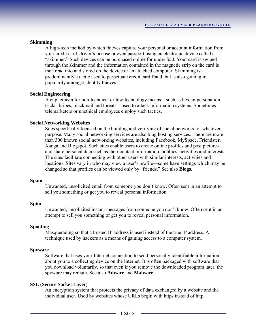### **Skimming**

A high-tech method by which thieves capture your personal or account information from your credit card, driver's license or even passport using an electronic device called a "skimmer." Such devices can be purchased online for under \$50. Your card is swiped through the skimmer and the information contained in the magnetic strip on the card is then read into and stored on the device or an attached computer. Skimming is predominantly a tactic used to perpetuate credit card fraud, but is also gaining in popularity amongst identity thieves.

### **Social Engineering**

A euphemism for non-technical or low-technology means—such as lies, impersonation, tricks, bribes, blackmail and threats—used to attack information systems. Sometimes telemarketers or unethical employees employ such tactics.

### **Social Networking Websites**

Sites specifically focused on the building and verifying of social networks for whatever purpose. Many social networking services are also blog hosting services. There are more than 300 known social networking websites, including Facebook, MySpace, Friendster, Xanga and Blogspot. Such sites enable users to create online profiles and post pictures and share personal data such as their contact information, hobbies, activities and interests. The sites facilitate connecting with other users with similar interests, activities and locations. Sites vary in who may view a user's profile—some have settings which may be changed so that profiles can be viewed only by "friends." See also **Blogs**.

### **Spam**

Unwanted, unsolicited email from someone you don't know. Often sent in an attempt to sell you something or get you to reveal personal information.

### **Spim**

Unwanted, unsolicited instant messages from someone you don't know. Often sent in an attempt to sell you something or get you to reveal personal information.

### **Spoofing**

Masquerading so that a trusted IP address is used instead of the true IP address. A technique used by hackers as a means of gaining access to a computer system.

### **Spyware**

Software that uses your Internet connection to send personally identifiable information about you to a collecting device on the Internet. It is often packaged with software that you download voluntarily, so that even if you remove the downloaded program later, the spyware may remain. See also **Adware** and **Malware**.

### **SSL (Secure Socket Layer)**

An encryption system that protects the privacy of data exchanged by a website and the individual user. Used by websites whose URLs begin with https instead of http.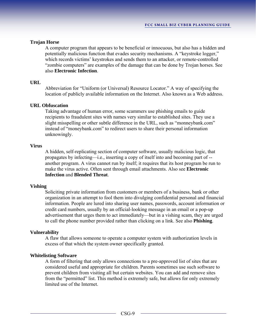### **Trojan Horse**

A computer program that appears to be beneficial or innocuous, but also has a hidden and potentially malicious function that evades security mechanisms. A "keystroke logger," which records victims' keystrokes and sends them to an attacker, or remote-controlled "zombie computers" are examples of the damage that can be done by Trojan horses. See also **Electronic Infection**.

### **URL**

Abbreviation for "Uniform (or Universal) Resource Locator." A way of specifying the location of publicly available information on the Internet. Also known as a Web address.

### **URL Obfuscation**

Taking advantage of human error, some scammers use phishing emails to guide recipients to fraudulent sites with names very similar to established sites. They use a slight misspelling or other subtle difference in the URL, such as "monneybank.com" instead of "moneybank.com" to redirect users to share their personal information unknowingly.

### **Virus**

A hidden, self-replicating section of computer software, usually malicious logic, that propagates by infecting—i.e., inserting a copy of itself into and becoming part of - another program. A virus cannot run by itself; it requires that its host program be run to make the virus active. Often sent through email attachments. Also see **Electronic Infection** and **Blended Threat**.

### **Vishing**

Soliciting private information from customers or members of a business, bank or other organization in an attempt to fool them into divulging confidential personal and financial information. People are lured into sharing user names, passwords, account information or credit card numbers, usually by an official-looking message in an email or a pop-up advertisement that urges them to act immediately—but in a vishing scam, they are urged to call the phone number provided rather than clicking on a link. See also **Phishing**.

### **Vulnerability**

A flaw that allows someone to operate a computer system with authorization levels in excess of that which the system owner specifically granted.

### **Whitelisting Software**

A form of filtering that only allows connections to a pre-approved list of sites that are considered useful and appropriate for children. Parents sometimes use such software to prevent children from visiting all but certain websites. You can add and remove sites from the "permitted" list. This method is extremely safe, but allows for only extremely limited use of the Internet.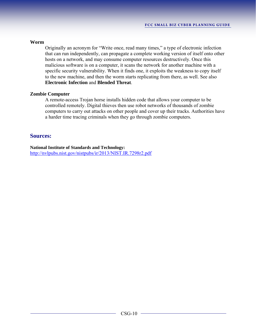### **Worm**

Originally an acronym for "Write once, read many times," a type of electronic infection that can run independently, can propagate a complete working version of itself onto other hosts on a network, and may consume computer resources destructively. Once this malicious software is on a computer, it scans the network for another machine with a specific security vulnerability. When it finds one, it exploits the weakness to copy itself to the new machine, and then the worm starts replicating from there, as well. See also **Electronic Infection** and **Blended Threat**.

### **Zombie Computer**

A remote-access Trojan horse installs hidden code that allows your computer to be controlled remotely. Digital thieves then use robot networks of thousands of zombie computers to carry out attacks on other people and cover up their tracks. Authorities have a harder time tracing criminals when they go through zombie computers.

### **Sources:**

**National Institute of Standards and Technology:**  <http://nvlpubs.nist.gov/nistpubs/ir/2013/NIST.IR.7298r2.pdf>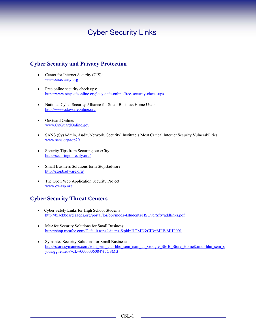# Cyber Security Links

# **Cyber Security and Privacy Protection**

- Center for Internet Security (CIS): www.cisecurity.org
- Free online security check ups: http://www.staysafeonline.org/stay-safe-online/free-security-check-ups
- National Cyber Security Alliance for Small Business Home Users: http://www.staysafeonline.org
- OnGuard Online: www.OnGuardOnline.gov
- SANS (SysAdmin, Audit, Network, Security) Institute's Most Critical Internet Security Vulnerabilities: www.sans.org/top20
- Security Tips from Securing our eCity: http://securingourecity.org/
- Small Business Solutions form StopBadware: http://stopbadware.org/
- The Open Web Application Security Project: www.owasp.org

# **Cyber Security Threat Centers**

- Cyber Safety Links for High School Students http://blackboard.aacps.org/portal/lor/obj/mods/4students/HSCybrSfty/addlinks.pdf
- McAfee Security Solutions for Small Business: http://shop.mcafee.com/Default.aspx?site=us&pid=HOME&CID=MFE-MHP001
- Symantec Security Solutions for Small Business: http://store.symantec.com/?om\_sem\_cid=hho\_sem\_nam\_us\_Google\_SMB\_Store\_Home&inid=hho\_sem\_s y:us:ggl:en:e%7Ckw0000006084%7CSMB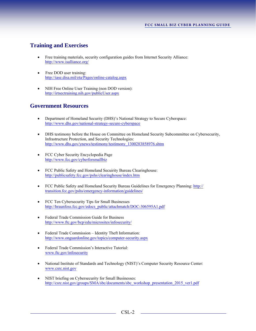# **Training and Exercises**

- Free training materials, security configuration guides from Internet Security Alliance: http://www.isalliance.org/
- Free DOD user training: http://iase.disa.mil/eta/Pages/online-catalog.aspx
- NIH Free Online User Training (non DOD version): http://irtsectraining.nih.gov/publicUser.aspx

## **Government Resources**

- Department of Homeland Security (DHS)'s National Strategy to Secure Cyberspace: http://www.dhs.gov/national-strategy-secure-cyberspace
- DHS testimony before the House on Committee on Homeland Security Subcommittee on Cybersecurity, Infrastructure Protection, and Security Technologies: http://www.dhs.gov/ynews/testimony/testimony\_1300283858976.shtm
- FCC Cyber Security Encyclopedia Page http://www.fcc.gov/cyberforsmallbiz
- FCC Public Safety and Homeland Secuirity Bureau Clearinghouse: http://publicsafety.fcc.gov/pshs/clearinghouse/index.htm
- FCC Public Safety and Homeland Security Bureau Guidelines for Emergency Planning: http:// transition.fcc.gov/pshs/emergency-information/guidelines/
- FCC Ten Cybersecurity Tips for Small Businesses http://hraunfoss.fcc.gov/edocs\_public/attachmatch/DOC-306595A1.pdf
- Federal Trade Commission Guide for Business http://www.ftc.gov/bcp/edu/microsites/infosecurity/
- Federal Trade Commission Identity Theft Information: http://www.onguardonline.gov/topics/computer-security.aspx
- Federal Trade Commission's Interactive Tutorial: www.ftc.gov/infosecurity
- National Institute of Standards and Technology (NIST)'s Computer Security Resource Center: www.csrc.nist.gov
- NIST briefing on Cybersecurity for Small Businesses: [http://csrc.nist.gov/groups/SMA/sbc/documents/sbc\\_workshop\\_presentation\\_2015\\_ver1.pdf](http://csrc.nist.gov/groups/SMA/sbc/documents/sbc_workshop_presentation_2015_ver1.pdf)